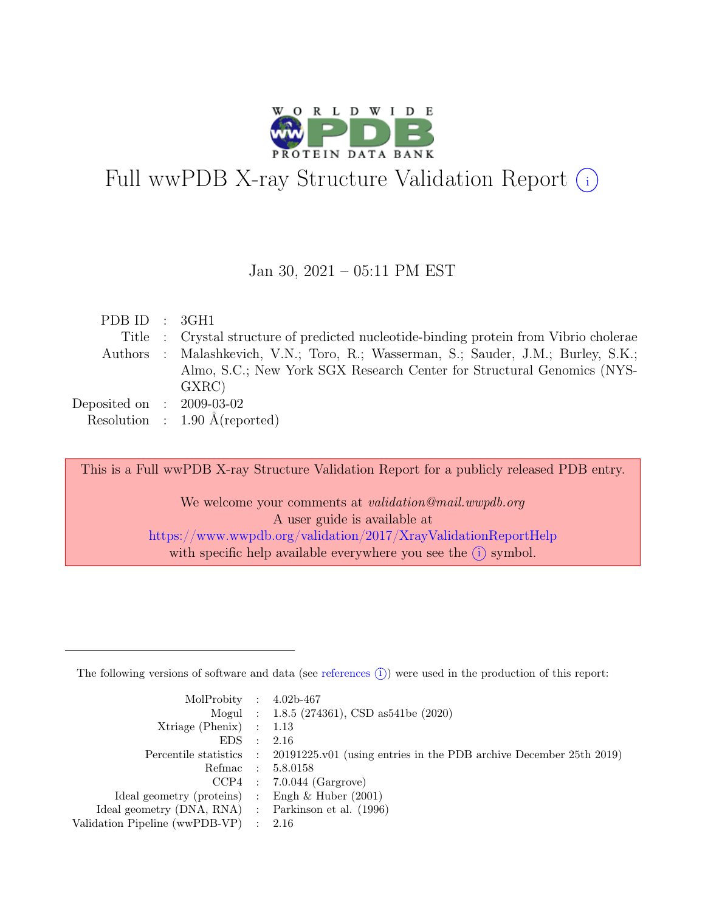

# Full wwPDB X-ray Structure Validation Report  $\bigcirc$

#### Jan 30, 2021 – 05:11 PM EST

| PDB ID : 3GH1               |                                                                                        |
|-----------------------------|----------------------------------------------------------------------------------------|
|                             | Title : Crystal structure of predicted nucleotide-binding protein from Vibrio cholerae |
|                             | Authors : Malashkevich, V.N.; Toro, R.; Wasserman, S.; Sauder, J.M.; Burley, S.K.;     |
|                             | Almo, S.C.; New York SGX Research Center for Structural Genomics (NYS-                 |
|                             | GXRC)                                                                                  |
| Deposited on : $2009-03-02$ |                                                                                        |
|                             | Resolution : $1.90 \text{ Å}$ (reported)                                               |

This is a Full wwPDB X-ray Structure Validation Report for a publicly released PDB entry. We welcome your comments at validation@mail.wwpdb.org A user guide is available at <https://www.wwpdb.org/validation/2017/XrayValidationReportHelp> with specific help available everywhere you see the  $(i)$  symbol.

The following versions of software and data (see [references](https://www.wwpdb.org/validation/2017/XrayValidationReportHelp#references)  $(i)$ ) were used in the production of this report:

| MolProbity : $4.02b-467$                            |                |                                                                                            |
|-----------------------------------------------------|----------------|--------------------------------------------------------------------------------------------|
|                                                     |                | Mogul : $1.8.5$ (274361), CSD as 541be (2020)                                              |
| $Xtriangle (Phenix)$ : 1.13                         |                |                                                                                            |
| EDS                                                 | $\mathbb{R}^n$ | - 2.16                                                                                     |
|                                                     |                | Percentile statistics : 20191225.v01 (using entries in the PDB archive December 25th 2019) |
| Refmac : 5.8.0158                                   |                |                                                                                            |
|                                                     |                | $CCP4$ : 7.0.044 (Gargrove)                                                                |
| Ideal geometry (proteins) : Engh $\&$ Huber (2001)  |                |                                                                                            |
| Ideal geometry (DNA, RNA) : Parkinson et al. (1996) |                |                                                                                            |
| Validation Pipeline (wwPDB-VP) : $2.16$             |                |                                                                                            |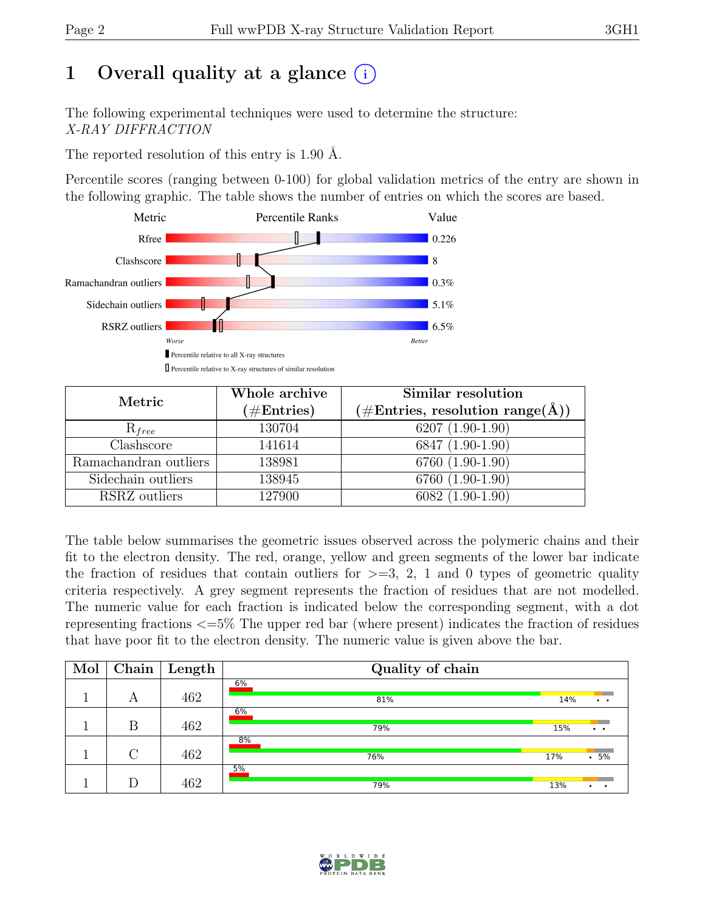# 1 Overall quality at a glance  $(i)$

The following experimental techniques were used to determine the structure: X-RAY DIFFRACTION

The reported resolution of this entry is 1.90 Å.

Percentile scores (ranging between 0-100) for global validation metrics of the entry are shown in the following graphic. The table shows the number of entries on which the scores are based.



| Metric                | Whole archive<br>$(\#Entries)$ | Similar resolution<br>$(\# \text{Entries}, \text{ resolution } \text{range}(\AA))$ |
|-----------------------|--------------------------------|------------------------------------------------------------------------------------|
| $R_{free}$            | 130704                         | $6207(1.90-1.90)$                                                                  |
| Clashscore            | 141614                         | 6847 (1.90-1.90)                                                                   |
| Ramachandran outliers | 138981                         | 6760 (1.90-1.90)                                                                   |
| Sidechain outliers    | 138945                         | 6760 (1.90-1.90)                                                                   |
| RSRZ outliers         | 127900                         | $6082(1.90-1.90)$                                                                  |

The table below summarises the geometric issues observed across the polymeric chains and their fit to the electron density. The red, orange, yellow and green segments of the lower bar indicate the fraction of residues that contain outliers for  $\geq$ =3, 2, 1 and 0 types of geometric quality criteria respectively. A grey segment represents the fraction of residues that are not modelled. The numeric value for each fraction is indicated below the corresponding segment, with a dot representing fractions <=5% The upper red bar (where present) indicates the fraction of residues that have poor fit to the electron density. The numeric value is given above the bar.

| Mol | Chain  | $\vert$ Length | Quality of chain |     |                              |
|-----|--------|----------------|------------------|-----|------------------------------|
|     | А      | 462            | 6%<br>81%        | 14% | $\bullet\qquad\bullet\qquad$ |
|     | В      | 462            | 6%<br>79%        | 15% | $\bullet\qquad\bullet\qquad$ |
|     | $\cap$ | 462            | 8%<br>76%        | 17% | .5%                          |
|     |        | 462            | $5\%$<br>79%     | 13% | $\cdot$ $\cdot$              |

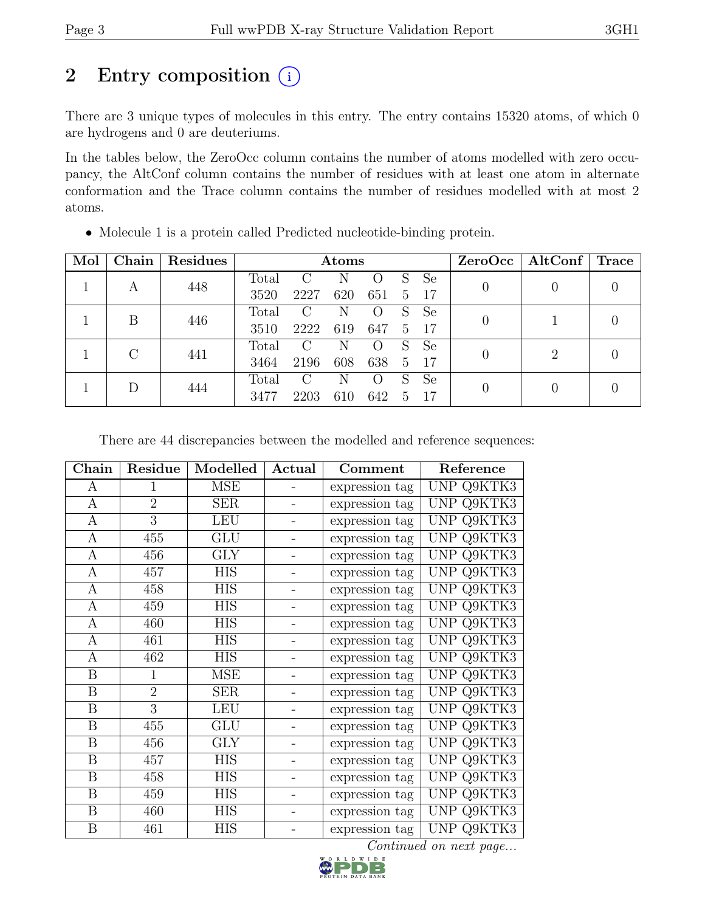# 2 Entry composition  $(i)$

There are 3 unique types of molecules in this entry. The entry contains 15320 atoms, of which 0 are hydrogens and 0 are deuteriums.

In the tables below, the ZeroOcc column contains the number of atoms modelled with zero occupancy, the AltConf column contains the number of residues with at least one atom in alternate conformation and the Trace column contains the number of residues modelled with at most 2 atoms.

| Mol | Chain | Residues |       | Atoms         |     |     |             |               | ZeroOcc   AltConf   Trace   |  |
|-----|-------|----------|-------|---------------|-----|-----|-------------|---------------|-----------------------------|--|
|     | А     | 448      | Total | C             | N   |     | S           | <sub>Se</sub> |                             |  |
|     |       |          | 3520  | 2227          | 620 | 651 | $5^{\circ}$ | -17           |                             |  |
|     | B     | 446      | Total | $\mathcal{C}$ | N   |     | S           | Se            |                             |  |
|     |       |          | 3510  | 2222          | 619 | 647 | 5           | -17           |                             |  |
|     | С     | 441      | Total | $\rm C$       | N   |     | S           | Se            | $\mathcal{D}_{\mathcal{L}}$ |  |
|     |       |          | 3464  | 2196          | 608 | 638 | 5           | -17           |                             |  |
|     |       |          | Total | $\mathcal{C}$ | N   |     | S           | Se            |                             |  |
|     | 444   | 3477     | 2203  | 610           | 642 | 5   | 17          |               |                             |  |

• Molecule 1 is a protein called Predicted nucleotide-binding protein.

There are 44 discrepancies between the modelled and reference sequences:

| Chain            | Residue        | Modelled   | Actual                   | Comment        | Reference         |
|------------------|----------------|------------|--------------------------|----------------|-------------------|
| A                | $\mathbf{1}$   | <b>MSE</b> |                          | expression tag | <b>UNP Q9KTK3</b> |
| $\mathbf{A}$     | $\overline{2}$ | <b>SER</b> |                          | expression tag | UNP Q9KTK3        |
| A                | 3              | <b>LEU</b> |                          | expression tag | UNP Q9KTK3        |
| $\mathbf{A}$     | 455            | GLU        |                          | expression tag | UNP Q9KTK3        |
| $\bf{A}$         | 456            | <b>GLY</b> |                          | expression tag | UNP Q9KTK3        |
| A                | 457            | <b>HIS</b> | -                        | expression tag | <b>UNP Q9KTK3</b> |
| $\mathbf{A}$     | 458            | <b>HIS</b> |                          | expression tag | UNP Q9KTK3        |
| $\mathbf{A}$     | 459            | <b>HIS</b> | $\overline{a}$           | expression tag | UNP Q9KTK3        |
| $\mathbf{A}$     | 460            | <b>HIS</b> | $\overline{\phantom{0}}$ | expression tag | UNP Q9KTK3        |
| $\mathbf{A}$     | 461            | <b>HIS</b> |                          | expression tag | UNP Q9KTK3        |
| A                | 462            | <b>HIS</b> | $\qquad \qquad -$        | expression tag | <b>UNP Q9KTK3</b> |
| $\boldsymbol{B}$ | $\overline{1}$ | <b>MSE</b> | $\qquad \qquad -$        | expression tag | UNP Q9KTK3        |
| $\boldsymbol{B}$ | $\overline{2}$ | <b>SER</b> |                          | expression tag | UNP Q9KTK3        |
| B                | 3              | <b>LEU</b> | -                        | expression tag | UNP Q9KTK3        |
| $\boldsymbol{B}$ | 455            | GLU        | $\qquad \qquad -$        | expression tag | UNP Q9KTK3        |
| B                | 456            | <b>GLY</b> |                          | expression tag | UNP Q9KTK3        |
| B                | 457            | <b>HIS</b> | -                        | expression tag | UNP Q9KTK3        |
| B                | 458            | <b>HIS</b> | $\qquad \qquad -$        | expression tag | UNP Q9KTK3        |
| B                | 459            | <b>HIS</b> |                          | expression tag | UNP Q9KTK3        |
| B                | 460            | <b>HIS</b> |                          | expression tag | UNP Q9KTK3        |
| B                | 461            | <b>HIS</b> |                          | expression tag | UNP Q9KTK3        |

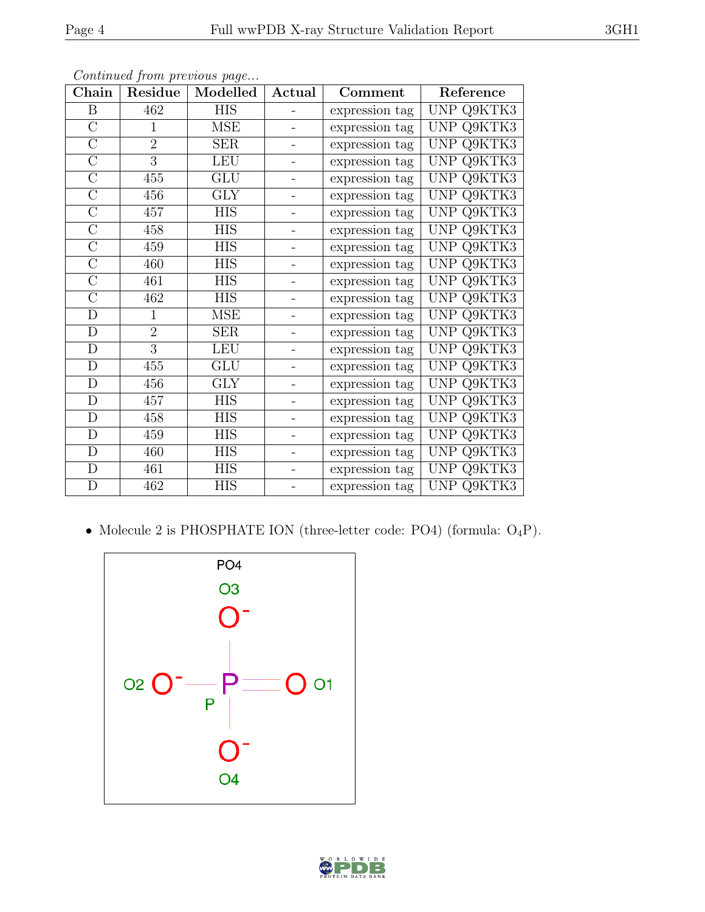| Chain          | <b>Residue</b> | Modelled   | Actual                   | Comment        | Reference  |
|----------------|----------------|------------|--------------------------|----------------|------------|
| B              | 462            | <b>HIS</b> |                          | expression tag | UNP Q9KTK3 |
| $\mathcal{C}$  | $\mathbf{1}$   | MSE        | $\overline{\phantom{0}}$ | expression tag | UNP Q9KTK3 |
| $\mathcal{C}$  | $\overline{2}$ | SER        | -                        | expression tag | UNP Q9KTK3 |
| $\mathcal{C}$  | 3              | <b>LEU</b> | $\overline{\phantom{0}}$ | expression tag | UNP Q9KTK3 |
| $\overline{C}$ | 455            | GLU        | -                        | expression tag | UNP Q9KTK3 |
| $\mathcal{C}$  | 456            | <b>GLY</b> |                          | expression tag | UNP Q9KTK3 |
| $\mathcal{C}$  | 457            | <b>HIS</b> |                          | expression tag | UNP Q9KTK3 |
| $\overline{C}$ | 458            | <b>HIS</b> |                          | expression tag | UNP Q9KTK3 |
| $\mathcal{C}$  | 459            | <b>HIS</b> | $\overline{\phantom{0}}$ | expression tag | UNP Q9KTK3 |
| $\overline{C}$ | 460            | <b>HIS</b> | -                        | expression tag | UNP Q9KTK3 |
| $\overline{C}$ | 461            | <b>HIS</b> | -                        | expression tag | UNP Q9KTK3 |
| $\overline{C}$ | 462            | <b>HIS</b> | -                        | expression tag | UNP Q9KTK3 |
| D              | $\mathbf{1}$   | MSE        | $\overline{\phantom{0}}$ | expression tag | UNP Q9KTK3 |
| $\mathbf D$    | $\overline{2}$ | SER        | $\overline{a}$           | expression tag | UNP Q9KTK3 |
| $\mathbf D$    | 3              | <b>LEU</b> | $\overline{a}$           | expression tag | UNP Q9KTK3 |
| D              | 455            | GLU        | $\overline{\phantom{0}}$ | expression tag | UNP Q9KTK3 |
| D              | 456            | <b>GLY</b> |                          | expression tag | UNP Q9KTK3 |
| D              | 457            | <b>HIS</b> |                          | expression tag | UNP Q9KTK3 |
| D              | 458            | <b>HIS</b> | -                        | expression tag | UNP Q9KTK3 |
| D              | 459            | <b>HIS</b> | $\overline{\phantom{0}}$ | expression tag | UNP Q9KTK3 |
| D              | 460            | <b>HIS</b> | -                        | expression tag | UNP Q9KTK3 |
| $\mathbf D$    | 461            | <b>HIS</b> |                          | expression tag | UNP Q9KTK3 |
| ${\rm D}$      | 462            | <b>HIS</b> |                          | expression tag | UNP Q9KTK3 |

• Molecule 2 is PHOSPHATE ION (three-letter code: PO4) (formula:  $O_4P$ ).



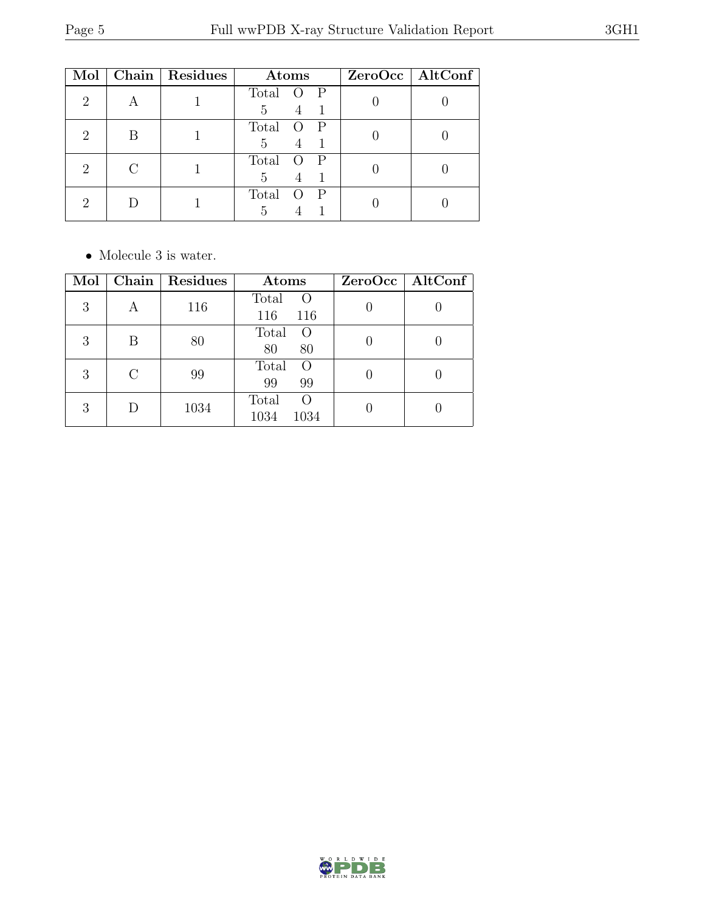| Mol                         |   | Chain   Residues | Atoms                      | $ZeroOcc$   AltConf |
|-----------------------------|---|------------------|----------------------------|---------------------|
| 2                           |   |                  | Total<br>$\mathbb{P}$<br>5 |                     |
| $\mathcal{D}$               | В |                  | Total<br>$\mathbb{P}$<br>5 |                     |
| $\mathcal{D}_{\mathcal{L}}$ |   |                  | Total<br>P<br>5            |                     |
| $\mathcal{D}_{\mathcal{A}}$ |   |                  | Total<br>$\mathbf{P}$<br>5 |                     |

 $\bullet\,$  Molecule 3 is water.

| Mol | Chain     | Residues | Atoms                               | ZeroOcc   AltConf |
|-----|-----------|----------|-------------------------------------|-------------------|
| 3   | А         | 116      | Total<br>O<br>116<br>116            |                   |
| 3   | Β         | 80       | Total<br>$\Omega$<br>80<br>80       |                   |
| 3   | $\bigcap$ | 99       | Total<br>$\overline{O}$<br>99<br>99 |                   |
| 3   |           | 1034     | Total<br>O<br>1034<br>1034          |                   |

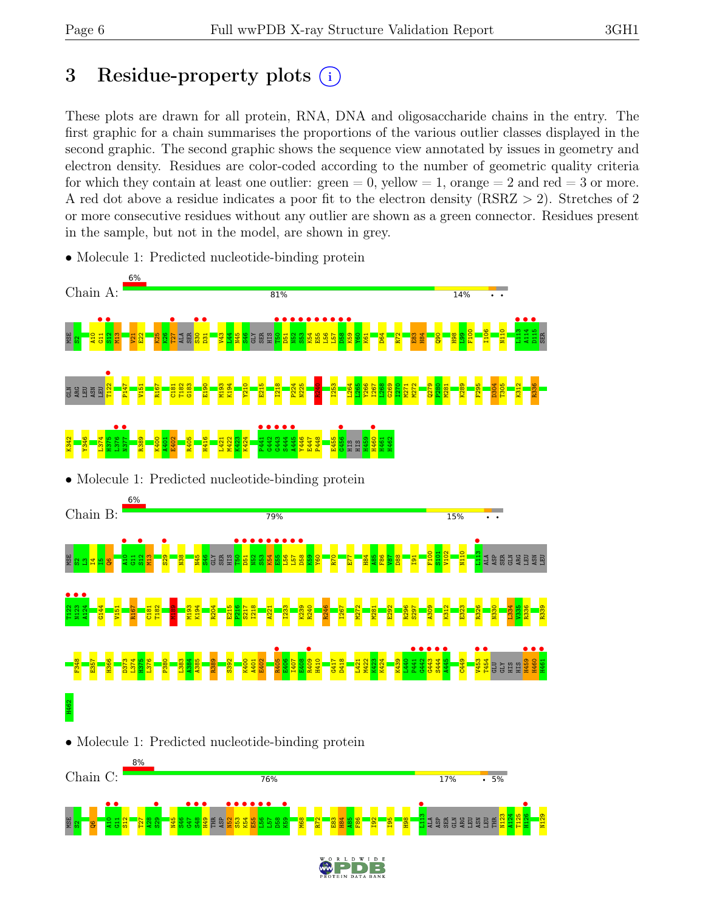# 3 Residue-property plots (i)

These plots are drawn for all protein, RNA, DNA and oligosaccharide chains in the entry. The first graphic for a chain summarises the proportions of the various outlier classes displayed in the second graphic. The second graphic shows the sequence view annotated by issues in geometry and electron density. Residues are color-coded according to the number of geometric quality criteria for which they contain at least one outlier:  $green = 0$ , yellow  $= 1$ , orange  $= 2$  and red  $= 3$  or more. A red dot above a residue indicates a poor fit to the electron density (RSRZ > 2). Stretches of 2 or more consecutive residues without any outlier are shown as a green connector. Residues present in the sample, but not in the model, are shown in grey.



• Molecule 1: Predicted nucleotide-binding protein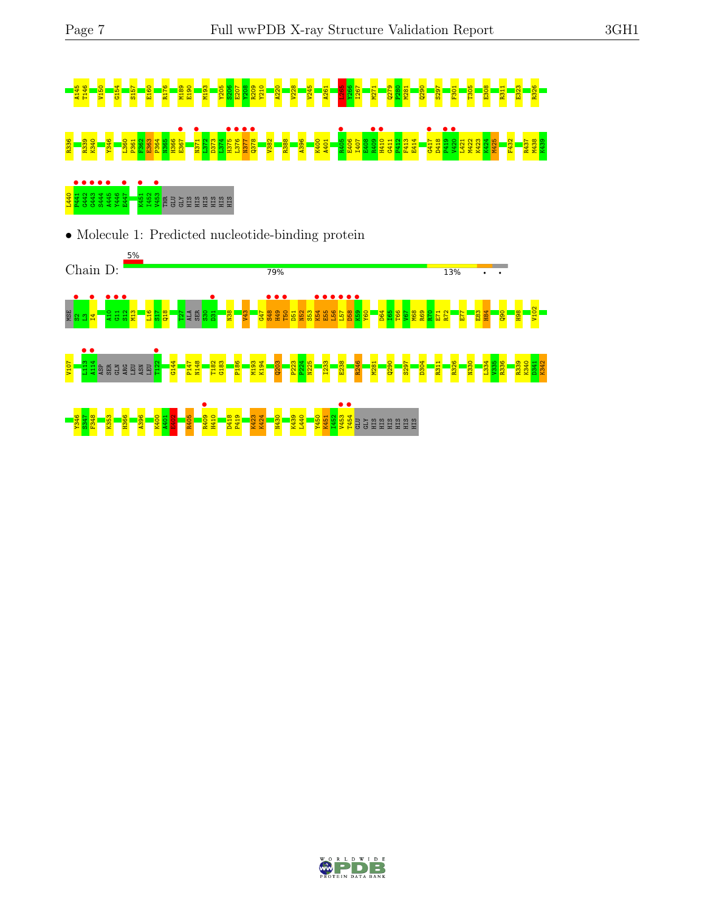# A14 T2 G15 G15 G151 E150 S206 S206 S206 A261 A262 G206 E207 S206 E308 S206 E207 S207 E207 S207 F302 B21 E307 S<br>4 4 T2 8 T2 5 T2 8 T2 8 S208 P280 S207 F301 T30 T30 B200 E208 R31 B200 S207 F301 E308 R311 E308 R311 E308 R326 R336 R339 K340 Y346 L360 P361 F362 E363 P364 N365 H366 E367 • N371 • L372 D373 L374 H375 • L376 • N377 • Q378 • V382 R388 A396 K400 A401 R405 • E406 I407 E408 R409 • H410 • G411 P412 F413 E414 G417 • D418 P419 • V420 • L421 M422 K423 K424 M425 F432 R437 M438 K439



• Molecule 1: Predicted nucleotide-binding protein



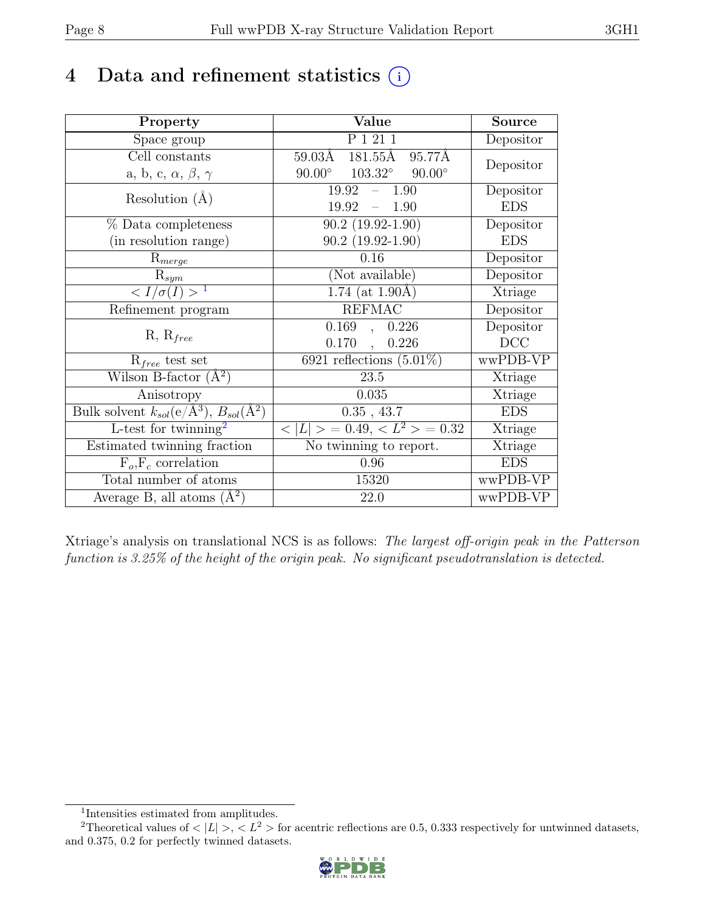# 4 Data and refinement statistics  $(i)$

| Property                                                             | Value                                             | <b>Source</b> |
|----------------------------------------------------------------------|---------------------------------------------------|---------------|
| Space group                                                          | $P_1$ $\overline{211}$                            | Depositor     |
| Cell constants                                                       | 59.03Å 181.55Å<br>95.77Å                          | Depositor     |
| a, b, c, $\alpha$ , $\beta$ , $\gamma$                               | $90.00^{\circ}$ $103.32^{\circ}$<br>$90.00^\circ$ |               |
| Resolution $(A)$                                                     | 19.92<br>1.90<br>$\equiv$                         | Depositor     |
|                                                                      | 19.92<br>$-1.90$                                  | <b>EDS</b>    |
| % Data completeness                                                  | $90.2(19.92-1.90)$                                | Depositor     |
| (in resolution range)                                                | $90.2(19.92 - 1.90)$                              | <b>EDS</b>    |
| $R_{merge}$                                                          | 0.16                                              | Depositor     |
| $R_{sym}$                                                            | (Not available)                                   | Depositor     |
| $\langle I/\sigma(I) \rangle$ <sup>1</sup>                           | $1.74$ (at 1.90Å)                                 | Xtriage       |
| Refinement program                                                   | <b>REFMAC</b>                                     | Depositor     |
|                                                                      | 0.169<br>0.226<br>$\overline{a}$                  | Depositor     |
| $R, R_{free}$                                                        | $0.170$ ,<br>0.226                                | DCC           |
| $R_{free}$ test set                                                  | $6921$ reflections $(5.01\%)$                     | wwPDB-VP      |
| Wilson B-factor $(A^2)$                                              | 23.5                                              | Xtriage       |
| Anisotropy                                                           | 0.035                                             | Xtriage       |
| Bulk solvent $k_{sol}(e/\mathring{A}^3)$ , $B_{sol}(\mathring{A}^2)$ | $0.35$ , 43.7                                     | <b>EDS</b>    |
| L-test for twinning <sup>2</sup>                                     | $< L >$ = 0.49, $< L^2 >$ = 0.32                  | Xtriage       |
| Estimated twinning fraction                                          | No twinning to report.                            | Xtriage       |
| $\overline{F_o,F_c}$ correlation                                     | 0.96                                              | <b>EDS</b>    |
| Total number of atoms                                                | 15320                                             | wwPDB-VP      |
| Average B, all atoms $(A^2)$                                         | 22.0                                              | wwPDB-VP      |

Xtriage's analysis on translational NCS is as follows: The largest off-origin peak in the Patterson function is 3.25% of the height of the origin peak. No significant pseudotranslation is detected.

<sup>&</sup>lt;sup>2</sup>Theoretical values of  $\langle |L| \rangle$ ,  $\langle L^2 \rangle$  for acentric reflections are 0.5, 0.333 respectively for untwinned datasets, and 0.375, 0.2 for perfectly twinned datasets.



<span id="page-7-1"></span><span id="page-7-0"></span><sup>1</sup> Intensities estimated from amplitudes.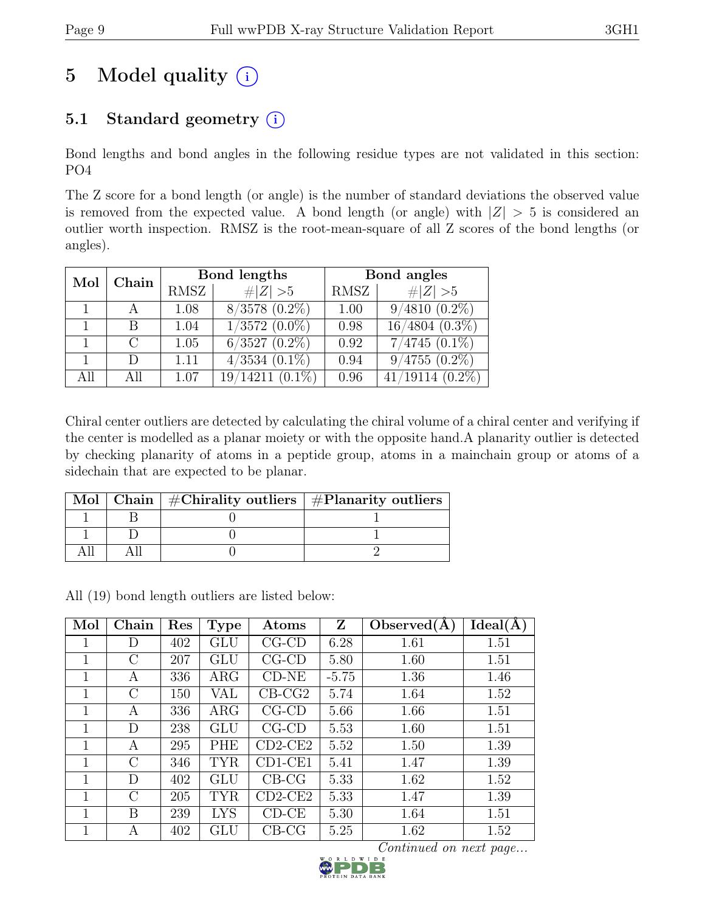# 5 Model quality  $(i)$

# 5.1 Standard geometry  $(i)$

Bond lengths and bond angles in the following residue types are not validated in this section: PO4

The Z score for a bond length (or angle) is the number of standard deviations the observed value is removed from the expected value. A bond length (or angle) with  $|Z| > 5$  is considered an outlier worth inspection. RMSZ is the root-mean-square of all Z scores of the bond lengths (or angles).

| Mol | Chain  |      | Bond lengths                  | Bond angles |                               |
|-----|--------|------|-------------------------------|-------------|-------------------------------|
|     |        | RMSZ | Z   > 5                       | RMSZ        | $\# Z  > 5$                   |
|     |        | 1.08 | $8/3578$ $(0.2\%)$            | 1.00        | $9/4810(0.2\%)$               |
|     | B      | 1.04 | $1/\overline{3572}$ $(0.0\%)$ | 0.98        | $16/4804(0.3\%)$              |
|     | $\cap$ | 1.05 | $6/3527$ $(0.2\%)$            | 0.92        | $7/4745$ $(0.1\%)$            |
|     | $\Box$ | 1.11 | $4/3534(0.1\%)$               | 0.94        | $9/4755$ $(0.\overline{2\%)}$ |
| All | All    | 1.07 | $19/14211(0.1\%)$             | 0.96        | $41/19114$ $(0.2\%)$          |

Chiral center outliers are detected by calculating the chiral volume of a chiral center and verifying if the center is modelled as a planar moiety or with the opposite hand.A planarity outlier is detected by checking planarity of atoms in a peptide group, atoms in a mainchain group or atoms of a sidechain that are expected to be planar.

|  | Mol   Chain   $\#\text{Chirality outliers}$   $\#\text{Planarity outliers}$ |
|--|-----------------------------------------------------------------------------|
|  |                                                                             |
|  |                                                                             |
|  |                                                                             |

All (19) bond length outliers are listed below:

| Mol | Chain         | Res | <b>Type</b> | Atoms       | Z       | Observed $(A)$ | Ideal(A) |
|-----|---------------|-----|-------------|-------------|---------|----------------|----------|
|     | D             | 402 | GLU         | $CG$ - $CD$ | 6.28    | 1.61           | 1.51     |
| 1   | C             | 207 | <b>GLU</b>  | $CG$ - $CD$ | 5.80    | 1.60           | 1.51     |
| 1   | A             | 336 | $\rm{ARG}$  | $CD-NE$     | $-5.75$ | 1.36           | 1.46     |
| 1   | С             | 150 | VAL         | $CB-CG2$    | 5.74    | 1.64           | 1.52     |
| 1   | А             | 336 | $\rm{ARG}$  | $CG$ - $CD$ | 5.66    | 1.66           | 1.51     |
| 1   | D             | 238 | GLU         | $CG$ - $CD$ | 5.53    | 1.60           | 1.51     |
| 1   | А             | 295 | <b>PHE</b>  | $CD2$ -CE2  | 5.52    | 1.50           | 1.39     |
| 1   | $\mathcal{C}$ | 346 | <b>TYR</b>  | CD1-CE1     | 5.41    | 1.47           | 1.39     |
| 1   | D             | 402 | GLU         | $CB-CG$     | 5.33    | 1.62           | 1.52     |
| 1   | $\rm C$       | 205 | <b>TYR</b>  | $CD2$ -CE2  | 5.33    | 1.47           | 1.39     |
| 1   | Β             | 239 | <b>LYS</b>  | $CD-CE$     | 5.30    | 1.64           | 1.51     |
|     | А             | 402 | GLU         | $CB-CG$     | 5.25    | 1.62           | 1.52     |

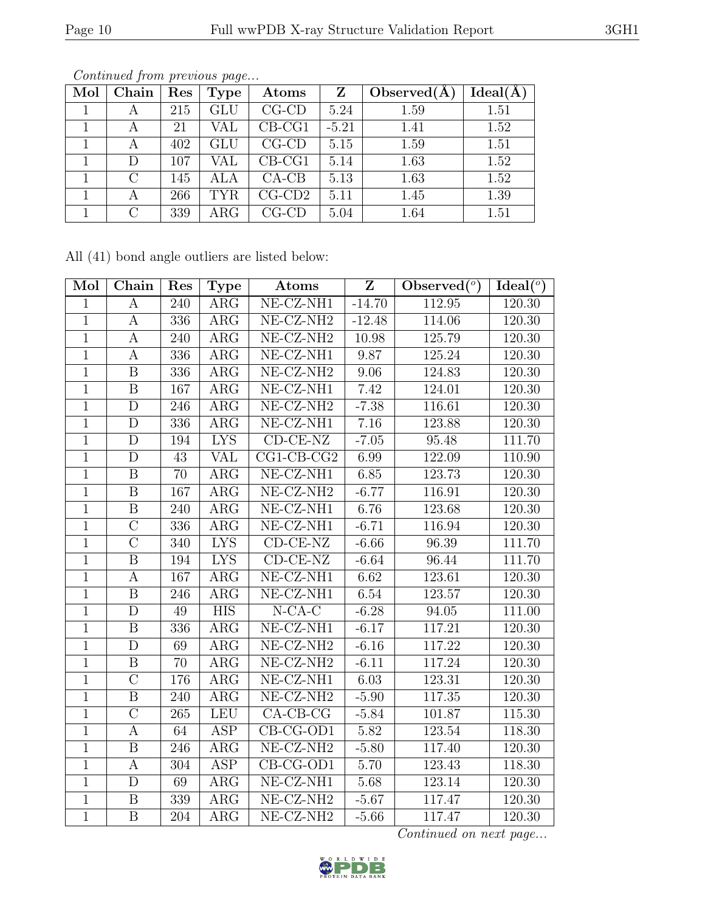| Mol | Chain     | Res | <b>Type</b> | $\rm{Atoms}$ | Z       | Observed $(A)$ | Ideal(A) |
|-----|-----------|-----|-------------|--------------|---------|----------------|----------|
|     | А         | 215 | GLU         | $CG$ - $CD$  | 5.24    | 1.59           | 1.51     |
|     | А         | 21  | VAL         | $CB-CG1$     | $-5.21$ | 1.41           | 1.52     |
|     | А         | 402 | GLU         | $CG$ - $CD$  | 5.15    | 1.59           | 1.51     |
|     | D         | 107 | VAL         | $CB-CG1$     | 5.14    | 1.63           | 1.52     |
|     | $\bigcap$ | 145 | ALA         | $CA-CB$      | 5.13    | 1.63           | 1.52     |
|     | А         | 266 | <b>TYR</b>  | $CG$ - $CD2$ | 5.11    | 1.45           | 1.39     |
|     | $\cap$    | 339 | $\rm{ARG}$  | $CG$ - $CD$  | 5.04    | 1.64           | 1.51     |

All (41) bond angle outliers are listed below:

| Mol            | Chain                   | Res | <b>Type</b>             | Atoms                                       | $\overline{\mathbf{Z}}$ | Observed $(°)$ | Ideal $(°)$ |
|----------------|-------------------------|-----|-------------------------|---------------------------------------------|-------------------------|----------------|-------------|
| $\mathbf{1}$   | A                       | 240 | $\rm{ARG}$              | $NE- CZ- NH1$                               | $-14.70$                | 112.95         | 120.30      |
| $\mathbf{1}$   | $\boldsymbol{A}$        | 336 | $\rm{ARG}$              | NE-CZ-NH <sub>2</sub>                       | $-12.48$                | 114.06         | 120.30      |
| $\mathbf{1}$   | $\mathbf{A}$            | 240 | $\rm{ARG}$              | NE-CZ-NH <sub>2</sub>                       | 10.98                   | 125.79         | 120.30      |
| $\mathbf{1}$   | A                       | 336 | $\rm{ARG}$              | NE-CZ-NH1                                   | 9.87                    | 125.24         | 120.30      |
| $\mathbf{1}$   | $\, {\bf B}$            | 336 | $\rm{ARG}$              | NE-CZ-NH <sub>2</sub>                       | 9.06                    | 124.83         | 120.30      |
| 1              | $\boldsymbol{B}$        | 167 | $\rm{ARG}$              | NE-CZ-NH1                                   | 7.42                    | 124.01         | 120.30      |
| $\overline{1}$ | $\mathbf D$             | 246 | ARG                     | $NE- CZ-NH2$                                | $-7.38$                 | 116.61         | 120.30      |
| $\mathbf 1$    | D                       | 336 | ARG                     | NE-CZ-NH1                                   | 7.16                    | 123.88         | 120.30      |
| $\mathbf 1$    | $\overline{\rm D}$      | 194 | <b>LYS</b>              | $CD-CE-NZ$                                  | $-7.05$                 | 95.48          | 111.70      |
| $\mathbf{1}$   | D                       | 43  | <b>VAL</b>              | $CG1-CB-CG2$                                | 6.99                    | 122.09         | 110.90      |
| $\mathbf{1}$   | $\boldsymbol{B}$        | 70  | $\overline{\text{ARG}}$ | NE-CZ-NH1                                   | 6.85                    | 123.73         | 120.30      |
| $\mathbf 1$    | B                       | 167 | $\rm{ARG}$              | NE-CZ-NH <sub>2</sub>                       | $-6.77$                 | 116.91         | 120.30      |
| $\mathbf{1}$   | $\boldsymbol{B}$        | 240 | $\rm{ARG}$              | NE-CZ-NH1                                   | 6.76                    | 123.68         | 120.30      |
| $\mathbf{1}$   | $\overline{C}$          | 336 | $\rm{ARG}$              | NE-CZ-NH1                                   | $-6.71$                 | 116.94         | 120.30      |
| $\mathbf{1}$   | $\overline{C}$          | 340 | <b>LYS</b>              | $CD-CE-NZ$                                  | $-6.66$                 | 96.39          | 111.70      |
| 1              | $\overline{\mathrm{B}}$ | 194 | $\overline{\text{LYS}}$ | $CD-CE-NZ$                                  | $-6.64$                 | 96.44          | 111.70      |
| $\mathbf{1}$   | A                       | 167 | $\rm{ARG}$              | $NE- CZ-NH1$                                | 6.62                    | 123.61         | 120.30      |
| $\mathbf{1}$   | $\overline{\mathbf{B}}$ | 246 | $\overline{\rm{ARG}}$   | $NE- CZ- NH1$                               | 6.54                    | 123.57         | 120.30      |
| $\mathbf 1$    | $\mathbf D$             | 49  | <b>HIS</b>              | $N$ -CA-C                                   | $-6.28$                 | 94.05          | 111.00      |
| $\mathbf{1}$   | $\boldsymbol{B}$        | 336 | $\rm{ARG}$              | $\overline{\text{NE- CZ-NH1}}$              | $-6.17$                 | 117.21         | 120.30      |
| $\mathbf{1}$   | $\mathbf D$             | 69  | $\rm{ARG}$              | NE-CZ-NH <sub>2</sub>                       | $-6.16$                 | 117.22         | 120.30      |
| $\mathbf{1}$   | $\boldsymbol{B}$        | 70  | $\rm{ARG}$              | NE-CZ-NH <sub>2</sub>                       | $-6.11$                 | 117.24         | 120.30      |
| $\mathbf{1}$   | $\overline{\rm C}$      | 176 | $\rm{ARG}$              | NE-CZ-NH1                                   | 6.03                    | 123.31         | 120.30      |
| $\mathbf{1}$   | $\overline{B}$          | 240 | $\rm{ARG}$              | NE-CZ-NH <sub>2</sub>                       | $-5.90$                 | 117.35         | 120.30      |
| $\mathbf{1}$   | $\overline{C}$          | 265 | LEU                     | $CA-CB-CG$                                  | $-5.84$                 | 101.87         | 115.30      |
| $\overline{1}$ | $\boldsymbol{A}$        | 64  | $\overline{\text{ASP}}$ | $CB-CG-OD1$                                 | 5.82                    | 123.54         | 118.30      |
| $\mathbf 1$    | B                       | 246 | $\rm{ARG}$              | NE-CZ-NH <sub>2</sub>                       | $-5.80$                 | 117.40         | 120.30      |
| 1              | А                       | 304 | ASP                     | $\overline{\text{CB-CG-OD1}}$               | 5.70                    | 123.43         | 118.30      |
| $\mathbf 1$    | D                       | 69  | $\rm{ARG}$              | NE-CZ-NH1                                   | 5.68                    | 123.14         | 120.30      |
| $\mathbf 1$    | $\boldsymbol{B}$        | 339 | $\rm{ARG}$              | NE-CZ-NH <sub>2</sub>                       | $-5.67$                 | 117.47         | 120.30      |
| $\mathbf{1}$   | $\, {\bf B}$            | 204 | $\rm{ARG}$              | $\overline{\text{NE-}\text{CZ-}\text{NH2}}$ | $-5.66$                 | 117.47         | 120.30      |

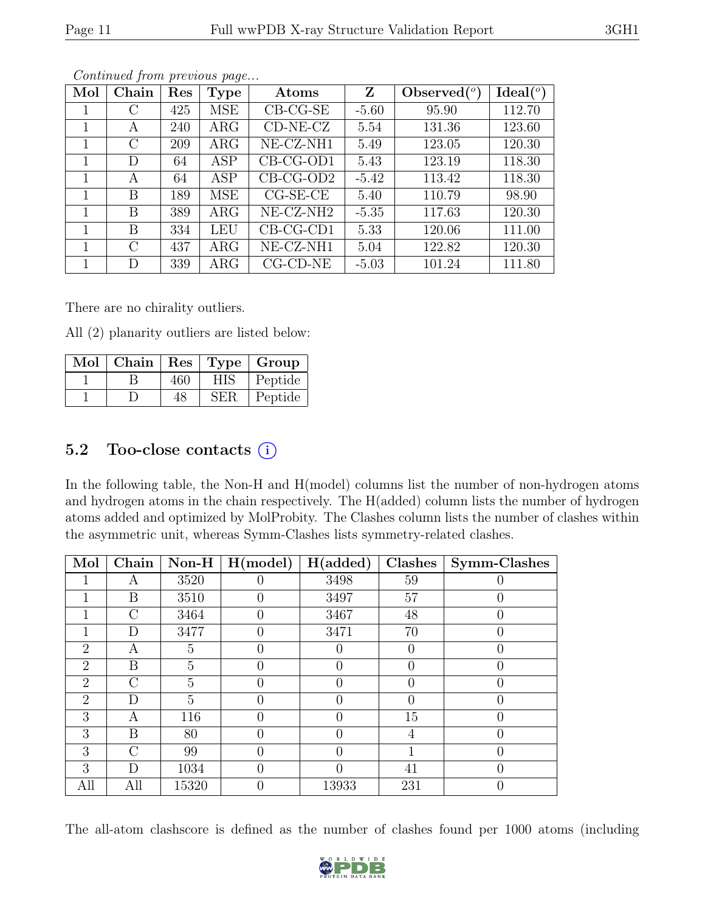| Mol | Chain         | Res | <b>Type</b> | Atoms                 | Z       | Observed $(°)$ | Ideal $(°)$ |
|-----|---------------|-----|-------------|-----------------------|---------|----------------|-------------|
|     | $\mathcal{C}$ | 425 | MSE         | $CB-CG-SE$            | $-5.60$ | 95.90          | 112.70      |
|     | А             | 240 | $\rm{ARG}$  | $CD-NE- CZ$           | 5.54    | 131.36         | 123.60      |
|     | $\rm C$       | 209 | $\rm{ARG}$  | NE-CZ-NH1             | 5.49    | 123.05         | 120.30      |
| 1   | D             | 64  | <b>ASP</b>  | CB-CG-OD1             | 5.43    | 123.19         | 118.30      |
|     | А             | 64  | <b>ASP</b>  | $CB-CG-OD2$           | $-5.42$ | 113.42         | 118.30      |
|     | B             | 189 | MSE         | $CG-SE-CE$            | 5.40    | 110.79         | 98.90       |
| 1   | B             | 389 | $\rm{ARG}$  | NE-CZ-NH <sub>2</sub> | $-5.35$ | 117.63         | 120.30      |
|     | B             | 334 | <b>LEU</b>  | $CB-CG-CD1$           | 5.33    | 120.06         | 111.00      |
|     | $\mathcal{C}$ | 437 | $\rm{ARG}$  | NE-CZ-NH1             | 5.04    | 122.82         | 120.30      |
|     | D             | 339 | $\rm{ARG}$  | $CG$ - $CD$ - $NE$    | $-5.03$ | 101.24         | 111.80      |

There are no chirality outliers.

All (2) planarity outliers are listed below:

| Mol | Chain | Res |            | Type   Group |
|-----|-------|-----|------------|--------------|
|     |       | 460 | <b>HIS</b> | Peptide      |
|     |       | 48  | SER        | Peptide      |

#### 5.2 Too-close contacts  $(i)$

In the following table, the Non-H and H(model) columns list the number of non-hydrogen atoms and hydrogen atoms in the chain respectively. The H(added) column lists the number of hydrogen atoms added and optimized by MolProbity. The Clashes column lists the number of clashes within the asymmetric unit, whereas Symm-Clashes lists symmetry-related clashes.

| Mol            | Chain         | $Non-H$        | H (model) | H(added)         | Clashes  | Symm-Clashes |
|----------------|---------------|----------------|-----------|------------------|----------|--------------|
|                | А             | 3520           |           | 3498             | 59       |              |
|                | Β             | 3510           |           | 3497             | 57       |              |
|                | $\rm C$       | 3464           | 0         | 3467             | 48       |              |
|                | D             | 3477           | O         | 3471             | 70       |              |
| $\overline{2}$ | А             | 5              |           |                  | $\theta$ |              |
| $\overline{2}$ | B             | 5              |           | $\left( \right)$ | $\Omega$ |              |
| $\overline{2}$ | $\mathcal{C}$ | 5              |           | 0                | 0        |              |
| $\overline{2}$ | D             | $\overline{5}$ | O         | 0                | $\Omega$ |              |
| 3              | Α             | 116            |           | 0                | 15       |              |
| 3              | Β             | 80             |           |                  | 4        |              |
| 3              | $\mathcal{C}$ | 99             | 0         | $\Omega$         |          | O            |
| 3              | D             | 1034           |           | 0                | 41       |              |
| All            | All           | 15320          | 0         | 13933            | 231      |              |

The all-atom clashscore is defined as the number of clashes found per 1000 atoms (including

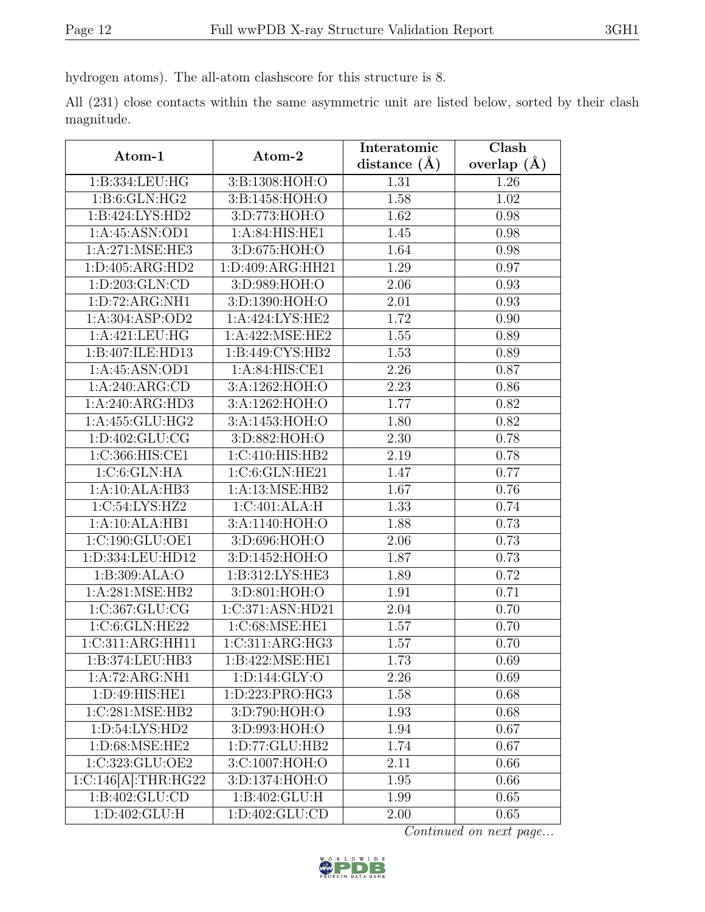hydrogen atoms). The all-atom clashscore for this structure is 8.

|            |  |  | All (231) close contacts within the same asymmetric unit are listed below, sorted by their clash |  |  |  |  |
|------------|--|--|--------------------------------------------------------------------------------------------------|--|--|--|--|
| magnitude. |  |  |                                                                                                  |  |  |  |  |

| Atom-1                      | Atom-2             | Interatomic      | Clash         |
|-----------------------------|--------------------|------------------|---------------|
|                             |                    | distance $(\AA)$ | overlap $(A)$ |
| 1:B:334:LEU:HG              | 3:B:1308:HOH:O     | 1.31             | 1.26          |
| 1: B:6: GLN: HG2            | 3:B:1458:HOH:O     | 1.58             | 1.02          |
| 1:B:424:LYS:HD2             | 3:D:773:HOH:O      | 1.62             | 0.98          |
| 1:A:45:ASN:OD1              | 1:A:84:HIS:HE1     | 1.45             | 0.98          |
| 1:A:271:MSE:HE3             | 3:D:675:HOH:O      | 1.64             | 0.98          |
| 1:D:405:ARG:HD2             | 1:D:409:ARG:HH21   | 1.29             | 0.97          |
| 1:D:203:GLN:CD              | 3:D:989:HOH:O      | 2.06             | 0.93          |
| 1:D:72:ARG:NH1              | 3:D:1390:HOH:O     | 2.01             | 0.93          |
| 1:A:304:ASP:OD2             | 1:A:424:LYS:HE2    | 1.72             | 0.90          |
| 1:A:421:LEU:HG              | 1: A:422: MSE: HE2 | 1.55             | 0.89          |
| 1:B:407:ILE:HD13            | 1:B:449:CYS:HB2    | 1.53             | 0.89          |
| 1:A:45:ASN:OD1              | 1:A:84:HIS:CE1     | 2.26             | 0.87          |
| 1:A:240:ARG:CD              | 3:A:1262:HOH:O     | 2.23             | 0.86          |
| 1:A:240:ARG:HD3             | 3:A:1262:HOH:O     | 1.77             | 0.82          |
| 1:A:455:GLU:HG2             | 3:A:1453:HOH:O     | 1.80             | 0.82          |
| 1:D:402:GLU:CG              | 3:D:882:HOH:O      | 2.30             | 0.78          |
| 1:C:366:HIS:CE1             | 1:C:410:HIS:HB2    | 2.19             | 0.78          |
| 1:C:6:GLN:HA                | 1:C:6:GLN:HE21     | 1.47             | 0.77          |
| 1:A:10:ALA:HB3              | 1:A:13:MSE:HB2     | 1.67             | 0.76          |
| 1:C:54:LYS:HZ2              | 1:C:401:ALA:H      | 1.33             | 0.74          |
| 1:A:10:ALA:HB1              | 3:A:1140:HOH:O     | 1.88             | 0.73          |
| 1:C:190:GLU:OE1             | 3:D:696:HOH:O      | 2.06             | 0.73          |
| 1:D:334:LEU:HD12            | 3:D:1452:HOH:O     | 1.87             | 0.73          |
| 1:B:309:ALA:O               | 1:B:312:LYS:HE3    | 1.89             | 0.72          |
| 1:A:281:MSE:HB2             | 3:D:801:HOH:O      | 1.91             | 0.71          |
| $1:C:367:\overline{GLU:CG}$ | 1:C:371:ASN:HD21   | 2.04             | 0.70          |
| 1:C:6:GLN:HE22              | 1:C:68:MSE:HE1     | 1.57             | 0.70          |
| 1:C:311:ARG:HH11            | 1:C:311:ARG:HG3    | 1.57             | 0.70          |
| 1:B:374:LEU:HB3             | 1:B:422:MSE:HE1    | 1.73             | 0.69          |
| $1:A:72:\overline{ARG:NH1}$ | 1: D: 144: GLY: O  | 2.26             | 0.69          |
| 1:D:49:HIS:HE1              | 1:D:223:PRO:HG3    | 1.58             | 0.68          |
| 1:C:281:MSE:HB2             | 3:D:790:HOH:O      | 1.93             | 0.68          |
| 1: D:54: LYS: HD2           | 3:D:993:HOH:O      | 1.94             | 0.67          |
| 1:D:68:MSE:HE2              | 1:D:77:GLU:HB2     | 1.74             | 0.67          |
| 1:C:323:GLU:OE2             | 3:C:1007:HOH:O     | 2.11             | 0.66          |
| 1:C:146[A]:THR:HG22         | 3:D:1374:HOH:O     | 1.95             | 0.66          |
| 1:B:402:GLU:CD              | 1:B:402:GLU:H      | 1.99             | 0.65          |
| 1: D:402: GLU: H            | 1:D:402:GLU:CD     | 2.00             | 0.65          |

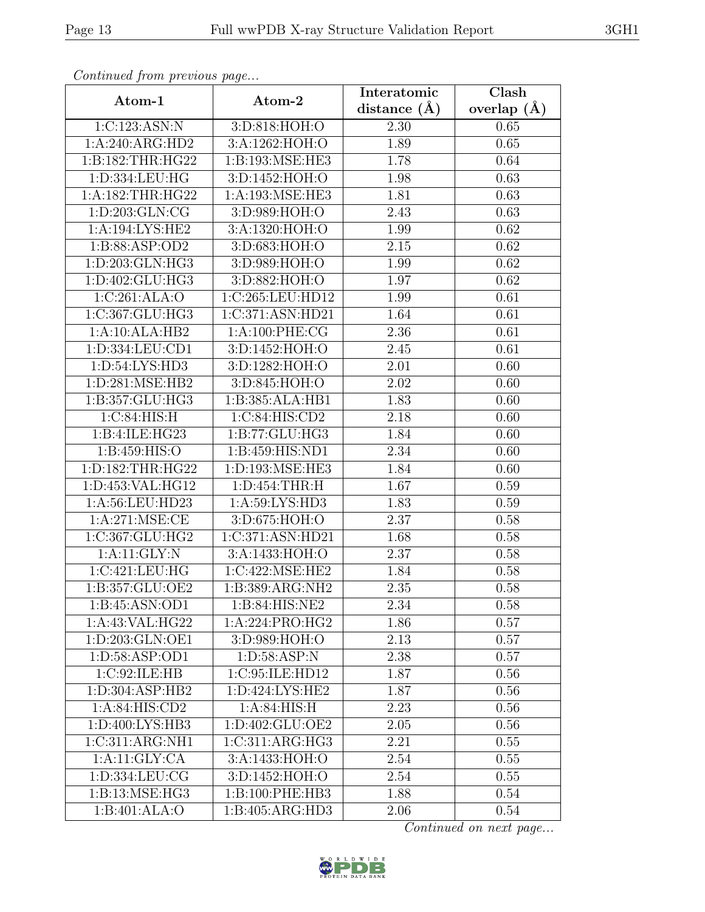| $J$ $T$ .<br>Atom-1  | $\mathbf{r} \sim$           | Interatomic       | Clash           |
|----------------------|-----------------------------|-------------------|-----------------|
|                      | Atom-2                      | distance $(\AA)$  | overlap $(\AA)$ |
| 1:C:123:ASN:N        | 3:D:818:HOH:O               | 2.30              | 0.65            |
| 1:A:240:ARG:HD2      | 3:A:1262:HOH:O              | 1.89              | 0.65            |
| 1:B:182:THR:HG22     | 1:B:193:MSE:HE3             | 1.78              | 0.64            |
| 1:D:334:LEU:HG       | 3:D:1452:HOH:O              | 1.98              | 0.63            |
| 1: A: 182: THR: HG22 | 1:A:193:MSE:HE3             | 1.81              | 0.63            |
| 1:D:203:GLN:CG       | 3:D:989:HOH:O               | 2.43              | 0.63            |
| 1:A:194:LYS:HE2      | 3:A:1320:HOH:O              | 1.99              | 0.62            |
| 1:B:88:ASP:OD2       | 3:D:683:HOH:O               | 2.15              | 0.62            |
| 1:D:203:GLN:HG3      | 3:D:989:HOH:O               | 1.99              | 0.62            |
| 1:D:402:GLU:HG3      | 3:D:882:HOH:O               | 1.97              | 0.62            |
| 1:C:261:ALA:O        | 1:C:265:LEU:HD12            | 1.99              | 0.61            |
| 1:C:367:GLU:HG3      | 1:C:371:ASN:HD21            | 1.64              | 0.61            |
| 1:A:10:ALA:HB2       | 1:A:100:PHE:CG              | 2.36              | 0.61            |
| 1:D:334:LEU:CD1      | 3:D:1452:HOH:O              | 2.45              | 0.61            |
| 1: D:54: LYS: HD3    | 3:D:1282:HOH:O              | 2.01              | 0.60            |
| 1:D:281:MSE:HB2      | 3:D:845:HOH:O               | 2.02              | 0.60            |
| 1:B:357:GLU:HG3      | 1:B:385:ALA:HB1             | 1.83              | 0.60            |
| 1:C:84:HIS:H         | 1:C:84:HIS:CD2              | 2.18              | 0.60            |
| 1:B:4:ILE:HG23       | 1:B:77:GLU:HG3              | 1.84              | 0.60            |
| 1:B:459:HIS:O        | 1:B:459:HIS:ND1             | 2.34              | 0.60            |
| 1:D:182:THR:HG22     | 1:D:193:MSE:HE3             | 1.84              | 0.60            |
| 1:D:453:VAL:HG12     | 1: D: 454: THR: H           | 1.67              | 0.59            |
| 1:A:56:LEU:HD23      | 1:A:59:LYS:HD3              | 1.83              | 0.59            |
| 1: A:271: MSE: CE    | 3:D:675:HOH:O               | 2.37              | 0.58            |
| 1:C:367:GLU:HG2      | 1:C:371:ASN:HD21            | 1.68              | 0.58            |
| 1:A:11:GLY:N         | 3:A:1433:HOH:O              | 2.37              | 0.58            |
| 1:C:421:LEU:HG       | 1:C:422:MSE:HE2             | 1.84              | 0.58            |
| 1:B:357:GLU:OE2      | 1:B:389:ARG:NH2             | 2.35              | 0.58            |
| 1: B:45: ASN:OD1     | 1: B:84: HIS: NE2           | 2.34              | 0.58            |
| 1:A:43:VAL:HG22      | 1:A:224:PRO:HG2             | 1.86              | 0.57            |
| 1:D:203:GLN:OE1      | 3:D:989:HOH:O               | $\overline{2.13}$ | 0.57            |
| 1:D:58:ASP:OD1       | 1: D:58: ASP:N              | 2.38              | 0.57            |
| 1:C:92:ILE:HB        | 1:C:95:ILE:HD12             | 1.87              | 0.56            |
| 1:D:304:ASP:HB2      | 1:D:424:LYS:HE2             | 1.87              | 0.56            |
| 1: A:84: HIS:CD2     | 1: A:84: HIS:H              | 2.23              | 0.56            |
| 1: D:400: LYS:HB3    | 1:D:402:GLU:OE2             | 2.05              | 0.56            |
| 1:C:311:ARG:NH1      | 1:C:311:ARG:HG3             | 2.21              | 0.55            |
| 1:A:11:GLY:CA        | $3:A:1433:\overline{HOH:O}$ | 2.54              | 0.55            |
| 1:D:334:LEU:CG       | 3:D:1452:HOH:O              | 2.54              | 0.55            |
| 1:B:13:MSE:HG3       | 1:B:100:PHE:HB3             | 1.88              | 0.54            |
| 1:B:401:ALA:O        | 1:B:405:ARG:HD3             | 2.06              | 0.54            |

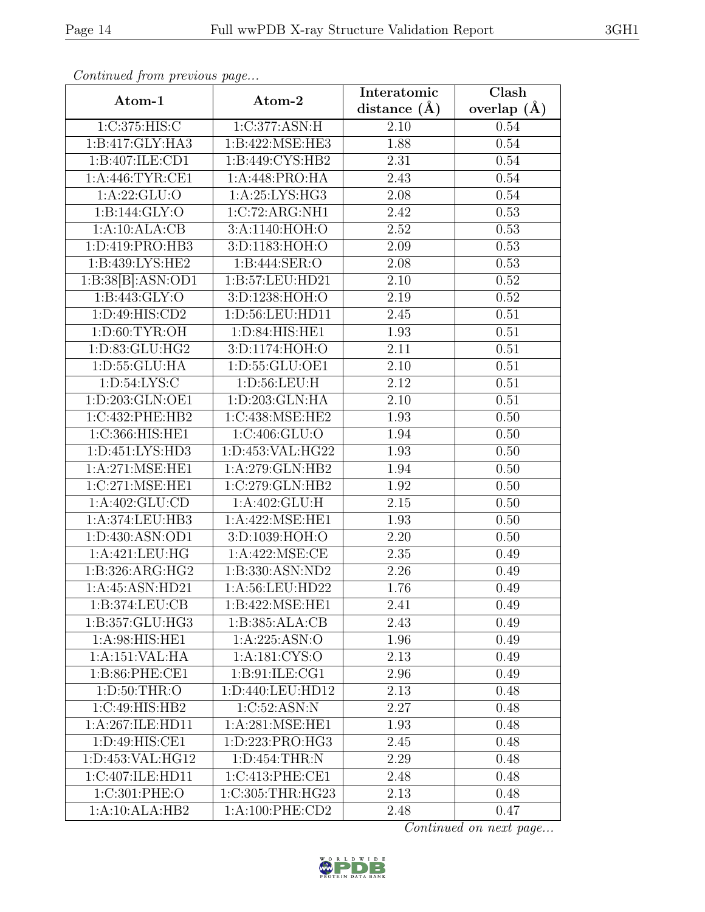| Atom-1             | Atom-2                         | Interatomic       | Clash         |
|--------------------|--------------------------------|-------------------|---------------|
|                    |                                | distance $(A)$    | overlap $(A)$ |
| 1:C:375:HIS:C      | 1:C:377:ASN:H                  | 2.10              | 0.54          |
| 1:B:417:GLY:HA3    | 1:B:422:MSE:HE3                | 1.88              | $0.54\,$      |
| 1:B:407:ILE:CD1    | 1:B:449:CYS:HB2                | 2.31              | 0.54          |
| 1: A:446: TYR: CE1 | 1:A:448:PRO:HA                 | 2.43              | 0.54          |
| 1: A:22: GLU:O     | 1:A:25:LYS:HG3                 | 2.08              | 0.54          |
| 1:B:144:GLY:O      | 1:C:72:ARG:NH1                 | 2.42              | 0.53          |
| 1:A:10:ALA:CB      | 3:A:1140:HOH:O                 | 2.52              | 0.53          |
| 1:D:419:PRO:HB3    | 3:D:1183:HOH:O                 | 2.09              | 0.53          |
| 1:B:439:LYS:HE2    | 1:B:444:SER:O                  | 2.08              | 0.53          |
| 1:B:38[B]:ASN:OD1  | 1:B:57:LEU:HD21                | 2.10              | 0.52          |
| 1: B: 443: GLY: O  | 3:D:1238:HOH:O                 | 2.19              | 0.52          |
| 1: D:49: HIS: CD2  | 1:D:56:LEU:HD11                | 2.45              | 0.51          |
| 1: D:60: TYR:OH    | 1:D:84:HIS:HE1                 | 1.93              | 0.51          |
| 1: D: 83: GLU: HG2 | 3:D:1174:HOH:O                 | $\overline{2.11}$ | 0.51          |
| 1:D:55:GLU:HA      | 1:D:55:GLU:OE1                 | 2.10              | 0.51          |
| 1: D:54: LYS: C    | 1: D: 56: LEU: H               | 2.12              | 0.51          |
| 1:D:203:GLN:OE1    | 1: D:203: GLN: HA              | 2.10              | 0.51          |
| 1:C:432:PHE:HB2    | 1:C:438:MSE:HE2                | 1.93              | 0.50          |
| 1:C:366:HIS:HE1    | 1:C:406:GLU:O                  | 1.94              | $0.50\,$      |
| 1:D:451:LYS:HD3    | 1:D:453:VAL:HG22               | 1.93              | 0.50          |
| 1: A:271: MSE: HE1 | 1:A:279:GLN:HB2                | 1.94              | 0.50          |
| 1:C:271:MSE:HE1    | 1:C:279:CLN:HB2                | 1.92              | 0.50          |
| 1: A:402: GLU:CD   | 1:A:402:GLU:H                  | 2.15              | 0.50          |
| 1:A:374:LEU:HB3    | 1:A:422:MSE:HE1                | 1.93              | 0.50          |
| 1:D:430:ASN:OD1    | 3:D:1039:HOH:O                 | 2.20              | 0.50          |
| 1:A:421:LEU:HG     | 1:A:422:MSE:CE                 | 2.35              | 0.49          |
| 1:B:326:ARG:HG2    | 1:B:330:ASN:ND2                | 2.26              | 0.49          |
| 1:A:45:ASN:HD21    | 1:A:56:LEU:HD22                | 1.76              | 0.49          |
| 1: B: 374: LEU: CB | 1:B:422:MSE:HE1                | 2.41              | 0.49          |
| 1:B:357:GLU:HG3    | 1:B:385:ALA:CB                 | 2.43              | 0.49          |
| 1:A:98:HIS:HE1     | 1:A:225:ASN:O                  | 1.96              | 0.49          |
| 1:A:151:VAL:HA     | 1: A: 181: CYS:O               | 2.13              | 0.49          |
| 1:B:86:PHE:CE1     | 1: B:91: ILE: CG1              | 2.96              | 0.49          |
| 1: D:50: THR:O     | 1:D:440:LEU:HD12               | 2.13              | 0.48          |
| 1:C:49:HIS:HB2     | 1:C:52:ASN:N                   | 2.27              | 0.48          |
| 1:A:267:ILE:HD11   | 1:A:281:MSE:HE1                | 1.93              | 0.48          |
| 1:D:49:HIS:CE1     | 1:D:223:PRO:HG3                | 2.45              | 0.48          |
| 1:D:453:VAL:HG12   | $1: D: 454: \overline{THR: N}$ | 2.29              | 0.48          |
| 1:C:407:ILE:HD11   | 1:C:413:PHE:CE1                | 2.48              | 0.48          |
| 1:C:301:PHE:O      | 1:C:305:THR:HG23               | 2.13              | 0.48          |
| 1:A:10:ALA:HB2     | 1: A:100: PHE:CD2              | 2.48              | 0.47          |

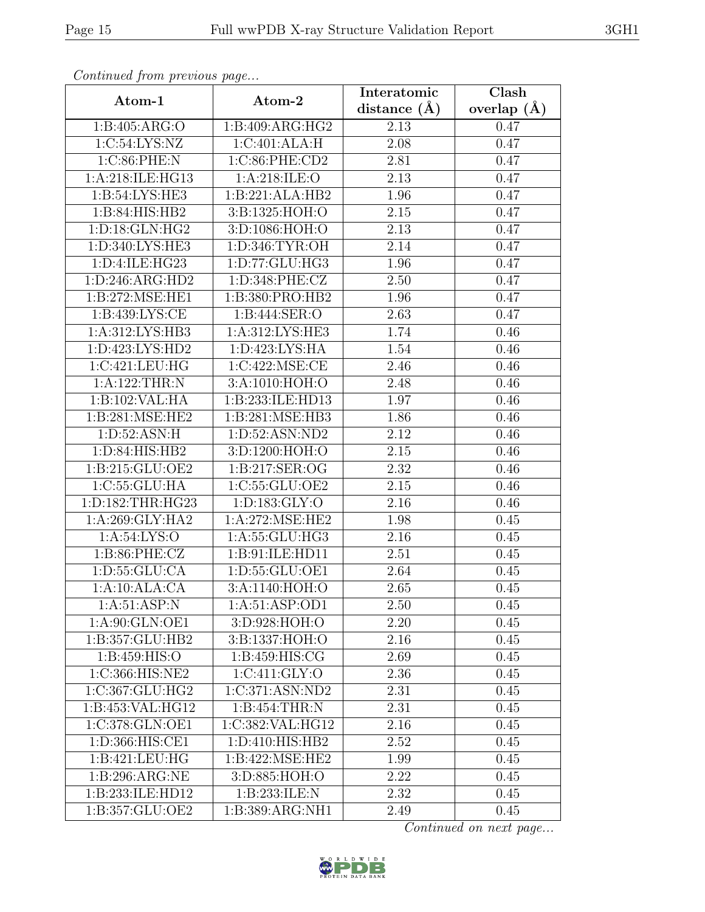| $\mathbf{r}$<br>Atom-1      | Atom-2             | Interatomic      | Clash           |
|-----------------------------|--------------------|------------------|-----------------|
|                             |                    | distance $(\AA)$ | overlap $(\AA)$ |
| 1:B:405:ARG:O               | 1:B:409:ARG:HG2    | 2.13             | 0.47            |
| 1:C:54:LYS:NZ               | 1:C:401:ALA:H      | 2.08             | 0.47            |
| 1:C:86:PHE:N                | 1:C:86:PHE:CD2     | 2.81             | 0.47            |
| 1:A:218:ILE:HG13            | 1:A:218:ILE:O      | 2.13             | 0.47            |
| $1:B:\overline{54:LYS:HE3}$ | 1:B:221:ALA:HB2    | 1.96             | 0.47            |
| 1:B:84:HIS:HB2              | 3:B:1325:HOH:O     | $2.15\,$         | 0.47            |
| 1: D: 18: GLN: HG2          | 3:D:1086:HOH:O     | 2.13             | 0.47            |
| 1:D:340:LYS:HE3             | 1:D:346:TYR:OH     | 2.14             | 0.47            |
| 1:D:4:ILE:HG23              | 1:D:77:GLU:HG3     | 1.96             | 0.47            |
| 1: D: 246: ARG: HD2         | 1:D:348:PHE:CZ     | 2.50             | 0.47            |
| 1:B:272:MSE:HE1             | 1:B:380:PRO:HB2    | 1.96             | 0.47            |
| 1: B: 439: LYS: CE          | 1:B:444:SER:O      | 2.63             | 0.47            |
| 1:A:312:LYS:HB3             | 1:A:312:LYS:HE3    | 1.74             | 0.46            |
| 1:D:423:LYS:HD2             | 1: D: 423: LYS: HA | 1.54             | 0.46            |
| 1:C:421:LEU:HG              | 1:C:422:MSE:CE     | 2.46             | 0.46            |
| 1:A:122:THR:N               | 3:A:1010:HOH:O     | 2.48             | 0.46            |
| 1:B:102:VAL:HA              | 1:B:233:ILE:HD13   | 1.97             | 0.46            |
| 1:B:281:MSE:HE2             | 1:B:281:MSE:HB3    | 1.86             | 0.46            |
| 1: D:52: ASN:H              | 1:D:52:ASN:ND2     | 2.12             | 0.46            |
| 1:D:84:HIS:HB2              | 3:D:1200:HOH:O     | 2.15             | 0.46            |
| 1:B:215:GLU:OE2             | 1:B:217:SER:OG     | 2.32             | 0.46            |
| 1:C:55:GLU:HA               | 1:C:55:GLU:OE2     | 2.15             | 0.46            |
| 1:D:182:THR:HG23            | 1: D: 183: GLY: O  | 2.16             | 0.46            |
| 1: A:269: GLY:HA2           | 1:A:272:MSE:HE2    | 1.98             | 0.45            |
| 1:A:54:LYS:O                | 1:A:55:GLU:HG3     | 2.16             | 0.45            |
| 1: B:86: PHE: CZ            | 1:B:91:ILE:HD11    | 2.51             | 0.45            |
| 1: D: 55: GLU: CA           | 1:D:55:GLU:OE1     | 2.64             | 0.45            |
| 1:A:10:ALA:CA               | 3:A:1140:HOH:O     | 2.65             | 0.45            |
| 1: A:51: ASP:N              | 1: A:51: ASP:OD1   | 2.50             | 0.45            |
| 1: A:90: GLN:OE1            | 3:D:928:HOH:O      | 2.20             | 0.45            |
| 1:B:357:GLU:HB2             | 3:B:1337:HOH:O     | 2.16             | 0.45            |
| 1: B: 459: HIS: O           | 1:B:459:HIS:CG     | 2.69             | 0.45            |
| 1:C:366:HIS:NE2             | 1:C:411:GLY:O      | 2.36             | 0.45            |
| 1:C:367:GLU:HG2             | 1:C:371:ASN:ND2    | 2.31             | 0.45            |
| 1:B:453:VAL:HG12            | 1:B:454:THR:N      | 2.31             | 0.45            |
| 1:C:378:GLN:OE1             | 1:C:382:VAL:HG12   | 2.16             | 0.45            |
| 1:D:366:HIS:CE1             | 1:D:410:HIS:HB2    | 2.52             | 0.45            |
| 1:B:421:LEU:HG              | 1: B:422: MSE: HE2 | 1.99             | 0.45            |
| 1:B:296:ARG:NE              | 3:D:885:HOH:O      | 2.22             | 0.45            |
| 1:B:233:ILE:HD12            | 1:B:233:ILE:N      | 2.32             | 0.45            |
| 1:B:357:GLU:OE2             | 1:B:389:ARG:NH1    | 2.49             | 0.45            |

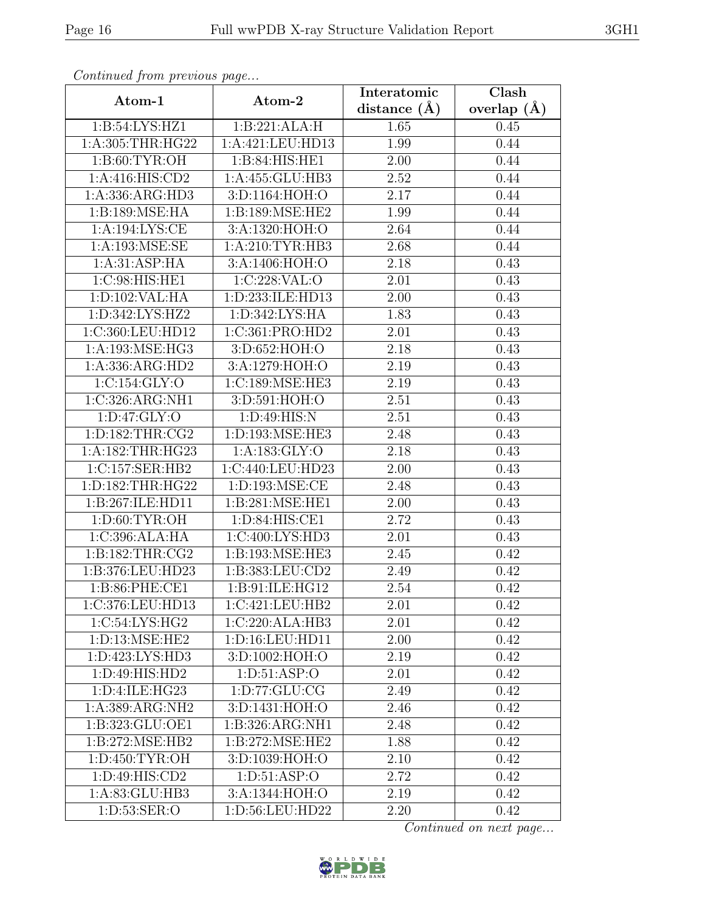| $\mathcal{F}$ , $\mathcal{F}$ , $\mathcal{F}$<br>Atom-1 | $\mathbf{r} \cdot \mathbf{v}$<br>Atom-2 | Interatomic    | Clash           |
|---------------------------------------------------------|-----------------------------------------|----------------|-----------------|
|                                                         |                                         | distance $(A)$ | overlap $(\AA)$ |
| 1:B:54:LYS:HZ1                                          | 1:B:221:ALA:H                           | 1.65           | 0.45            |
| 1:A:305:THR:HG22                                        | 1:A:421:LEU:HD13                        | 1.99           | 0.44            |
| 1: B:60: TYR:OH                                         | 1:B:84:HIS:HE1                          | 2.00           | 0.44            |
| 1:A:416:HIS:CD2                                         | 1:A:455:GLU:HB3                         | 2.52           | 0.44            |
| 1:A:336:ARG:HD3                                         | 3:D:1164:HOH:O                          | 2.17           | 0.44            |
| 1:B:189:MSE:HA                                          | 1:B:189:MSE:HE2                         | 1.99           | 0.44            |
| 1:A:194:LYS:CE                                          | 3:A:1320:HOH:O                          | 2.64           | 0.44            |
| 1: A: 193: MSE: SE                                      | 1: A:210: TYR: HB3                      | 2.68           | 0.44            |
| 1: A:31: ASP: HA                                        | 3:A:1406:HOH:O                          | 2.18           | 0.43            |
| 1:C:98:HIS:HE1                                          | 1:C:228:VAL:O                           | 2.01           | 0.43            |
| 1:D:102:VAL:HA                                          | 1:D:233:ILE:HD13                        | 2.00           | 0.43            |
| 1:D:342:LYS:HZ2                                         | 1: D: 342: LYS: HA                      | 1.83           | 0.43            |
| 1:C:360:LEU:HD12                                        | 1:C:361:PRO:HD2                         | 2.01           | 0.43            |
| 1:A:193:MSE:HG3                                         | 3:D:652:HOH:O                           | 2.18           | 0.43            |
| 1:A:336:ARG:HD2                                         | 3:A:1279:HOH:O                          | 2.19           | 0.43            |
| 1:C:154:GLY:O                                           | 1:C:189:MSE:HE3                         | 2.19           | 0.43            |
| 1:C:326:ARG:NH1                                         | 3:D:591:HOH:O                           | 2.51           | 0.43            |
| 1: D: 47: GLY: O                                        | 1: D:49: HIS:N                          | 2.51           | 0.43            |
| 1: D: 182: THR: CG2                                     | 1:D:193:MSE:HE3                         | 2.48           | 0.43            |
| 1:A:182:THR:HG23                                        | 1:A:183:GLY:O                           | 2.18           | 0.43            |
| 1:C:157:SER:HB2                                         | 1:C:440:LEU:HD23                        | 2.00           | 0.43            |
| 1:D:182:THR:HG22                                        | 1:D:193:MSE:CE                          | 2.48           | 0.43            |
| 1:B:267:ILE:HD11                                        | 1:B:281:MSE:HE1                         | 2.00           | 0.43            |
| 1: D:60: TYR:OH                                         | 1:D:84:HIS:CE1                          | 2.72           | 0.43            |
| 1:C:396:ALA:HA                                          | 1:C:400:LYS:HD3                         | 2.01           | 0.43            |
| 1:B:182:THR:CG2                                         | 1:B:193:MSE:HE3                         | 2.45           | 0.42            |
| 1:B:376:LEU:HD23                                        | 1:B:383:LEU:CD2                         | 2.49           | 0.42            |
| 1:B:86:PHE:CE1                                          | 1:B:91:ILE:HG12                         | 2.54           | 0.42            |
| 1:C:376:LEU:HD13                                        | 1:C:421:LEU:HB2                         | 2.01           | 0.42            |
| $1:C:54:LYS:\overline{HG2}$                             | 1:C:220:ALA:HB3                         | 2.01           | 0.42            |
| 1:D:13:MSE:HE2                                          | 1:D:16:LEU:HD11                         | 2.00           | 0.42            |
| 1:D:423:LYS:HD3                                         | 3:D:1002:HOH:O                          | 2.19           | 0.42            |
| 1:D:49:HIS:HD2                                          | 1: D: 51: ASP: O                        | 2.01           | 0.42            |
| 1:D:4:ILE:HG23                                          | 1: D: 77: GLU: CG                       | 2.49           | 0.42            |
| 1:A:389:ARG:NH2                                         | 3:D:1431:HOH:O                          | 2.46           | 0.42            |
| 1:B:323:GLU:OE1                                         | 1:B:326:ARG:NH1                         | 2.48           | 0.42            |
| 1:B:272:MSE:HB2                                         | 1:B:272:MSE:HE2                         | 1.88           | 0.42            |
| 1: D: 450: TYR: OH                                      | 3:D:1039:HOH:O                          | 2.10           | 0.42            |
| 1:D:49:HIS:CD2                                          | 1: D: 51: ASP: O                        | 2.72           | 0.42            |
| 1:A:83:GLU:HB3                                          | 3:A:1344:HOH:O                          | 2.19           | 0.42            |
| 1:D:53:SER:O                                            | 1:D:56:LEU:HD22                         | 2.20           | 0.42            |

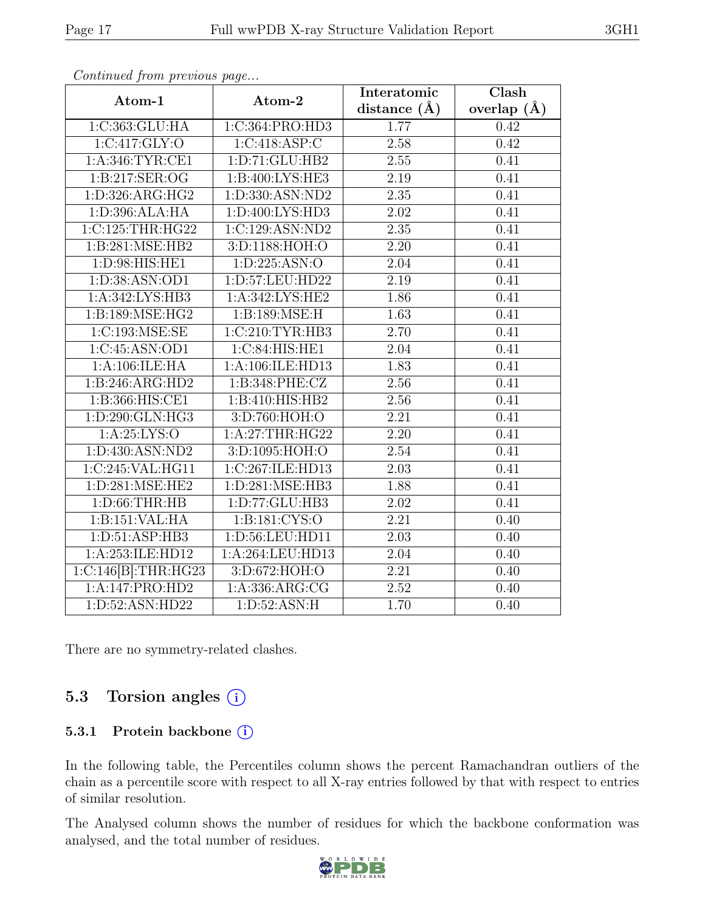| $Atom-1$            | Atom-2                       | Interatomic       | Clash           |
|---------------------|------------------------------|-------------------|-----------------|
|                     |                              | distance $(\AA)$  | overlap $(\AA)$ |
| 1:C:363:GLU:HA      | 1:C:364:PRO:HD3              | 1.77              | 0.42            |
| 1:C:417:GLY:O       | 1:C:418:ASP:C                | 2.58              | 0.42            |
| 1:A:346:TYR:CE1     | 1:D:71:GLU:HB2               | $2.55\,$          | 0.41            |
| 1:B:217:SER:OG      | 1:B:400:LYS:HE3              | 2.19              | 0.41            |
| 1:D:326:ARG:HG2     | 1:D:330:ASN:ND2              | 2.35              | 0.41            |
| 1: D: 396: ALA: HA  | 1: D:400: LYS:HD3            | 2.02              | 0.41            |
| 1:C:125:THR:HG22    | 1:C:129:ASN:ND2              | 2.35              | 0.41            |
| 1:B:281:MSE:HB2     | 3:D:1188:HOH:O               | 2.20              | 0.41            |
| 1: D:98: HIS: HE1   | 1: D: 225: ASN:O             | 2.04              | 0.41            |
| 1:D:38:ASN:OD1      | 1:D:57:LEU:HD22              | 2.19              | 0.41            |
| 1:A:342:LYS:HB3     | 1:A:342:LYS:HE2              | 1.86              | 0.41            |
| 1:B:189:MSE:HG2     | 1:B:189:MSE:H                | 1.63              | 0.41            |
| 1:C:193:MSE:SE      | 1:C:210:TYR:HB3              | 2.70              | 0.41            |
| 1:C:45:ASN:OD1      | 1:C:84:HIS:HE1               | 2.04              | 0.41            |
| 1:A:106:ILE:HA      | 1:A:106:ILE:HD13             | 1.83              | 0.41            |
| 1:B:246:ARG:HD2     | 1:B:348:PHE:CZ               | 2.56              | 0.41            |
| 1:B:366:HIS:CE1     | 1:B:410:HIS:HB2              | 2.56              | 0.41            |
| 1: D:290: GLN: HG3  | $3: D:760: \overline{HOH:O}$ | 2.21              | 0.41            |
| 1: A:25: LYS:O      | 1: A:27:THR:HG22             | 2.20              | 0.41            |
| 1:D:430:ASN:ND2     | 3:D:1095:HOH:O               | 2.54              | 0.41            |
| 1:C:245:VAL:HG11    | 1:C:267:ILE:HD13             | $\overline{2.03}$ | 0.41            |
| 1: D:281: MSE: HE2  | 1: D:281: MSE:HB3            | 1.88              | 0.41            |
| 1: D:66:THR:HB      | 1: D: 77: GLU: HB3           | 2.02              | 0.41            |
| 1:B:151:VAL:HA      | 1: B:181: CYS:O              | 2.21              | 0.40            |
| 1:D:51:ASP:HB3      | 1:D:56:LEU:HD11              | 2.03              | 0.40            |
| 1:A:253:ILE:HD12    | 1:A:264:LEU:HD13             | 2.04              | 0.40            |
| 1:C:146[B]:THR:HG23 | 3:D:672:HOH:O                | 2.21              | 0.40            |
| 1:A:147:PRO:HD2     | 1: A: 336: ARG: CG           | 2.52              | 0.40            |
| 1:D:52:ASN:HD22     | 1: D:52: ASN:H               | 1.70              | 0.40            |

There are no symmetry-related clashes.

## 5.3 Torsion angles (i)

#### 5.3.1 Protein backbone (i)

In the following table, the Percentiles column shows the percent Ramachandran outliers of the chain as a percentile score with respect to all X-ray entries followed by that with respect to entries of similar resolution.

The Analysed column shows the number of residues for which the backbone conformation was analysed, and the total number of residues.

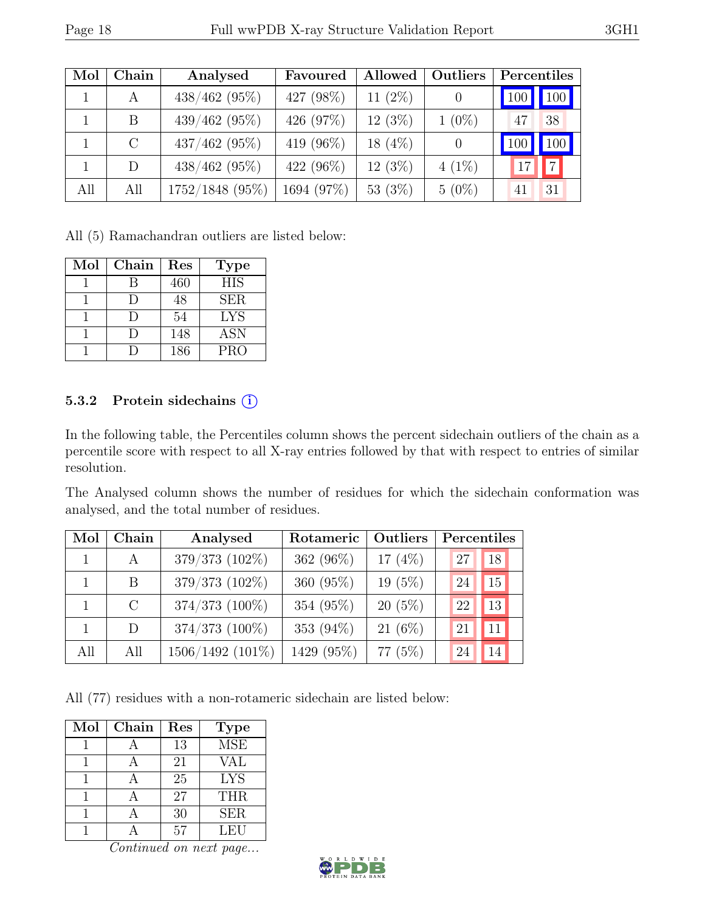| Mol | Chain   | Analysed        | Allowed<br>Favoured |            | Outliers       | Percentiles |                     |
|-----|---------|-----------------|---------------------|------------|----------------|-------------|---------------------|
|     | А       | $438/462$ (95%) | 427 (98%)           | 11 $(2\%)$ | $\theta$       | 100         | $\vert$ 100 $\vert$ |
|     | B       | 439/462 (95%)   | 426 (97%)           | 12(3%)     | $1(0\%)$       | 47          | 38                  |
|     | $\rm C$ | $437/462$ (95%) | 419 (96%)           | $18(4\%)$  | $\overline{0}$ | 100         | 100 <sub>h</sub>    |
|     | D       | $438/462$ (95%) | 422 (96%)           | $12(3\%)$  | $4(1\%)$       |             | $\overline{7}$      |
| All | All     | 1752/1848 (95%) | 1694 (97%)          | 53 (3%)    | $5(0\%)$       | 41          | 31                  |

All (5) Ramachandran outliers are listed below:

| Mol | Chain  | Res | <b>Type</b>      |
|-----|--------|-----|------------------|
|     | R      | 460 | $\overline{HIS}$ |
|     | $\Box$ | 48  | <b>SER</b>       |
|     | $\Box$ | 54  | <b>LYS</b>       |
|     | I)     | 148 | <b>ASN</b>       |
|     |        | 186 | <b>PRO</b>       |

#### 5.3.2 Protein sidechains (i)

In the following table, the Percentiles column shows the percent sidechain outliers of the chain as a percentile score with respect to all X-ray entries followed by that with respect to entries of similar resolution.

The Analysed column shows the number of residues for which the sidechain conformation was analysed, and the total number of residues.

| Mol | Chain         | Analysed         | Rotameric    | Outliers  | Percentiles |                 |
|-----|---------------|------------------|--------------|-----------|-------------|-----------------|
|     | A             | 379/373 (102%)   | 362 $(96\%)$ | 17 $(4%)$ | 27          | 18              |
|     | <sub>B</sub>  | 379/373 (102%)   | 360 $(95\%)$ | $19(5\%)$ | 24          | 15 <sub>1</sub> |
|     | $\mathcal{C}$ | 374/373 (100%)   | 354 (95%)    | $20(5\%)$ | 22          | 13              |
|     | D             | 374/373 (100%)   | 353 (94%)    | $21(6\%)$ | 21          | 11              |
| All | All           | 1506/1492 (101%) | 1429 (95%)   | 77 $(5%)$ | 24          | 14              |

All (77) residues with a non-rotameric sidechain are listed below:

| Mol | Chain | Res | <b>Type</b> |
|-----|-------|-----|-------------|
|     |       | 13  | <b>MSE</b>  |
|     |       | 21  | <b>VAL</b>  |
|     |       | 25  | <b>LYS</b>  |
|     |       | 27  | <b>THR</b>  |
|     |       | 30  | <b>SER</b>  |
|     |       | 57  | LEU         |

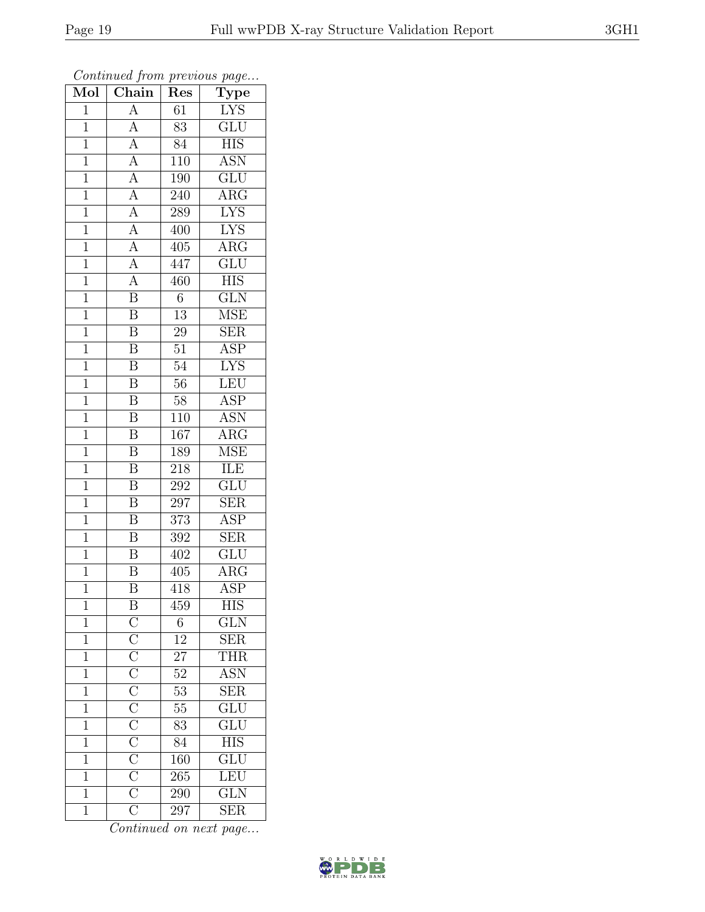| $\overline{\text{Mol}}$ | $\boldsymbol{\mathcal{J}}$<br>Chain                                                                                                                                                                                                           | ı<br>Res         | $\mathbf{r}$<br>$\overline{v}$<br>$\overline{\text{Type}}$ |
|-------------------------|-----------------------------------------------------------------------------------------------------------------------------------------------------------------------------------------------------------------------------------------------|------------------|------------------------------------------------------------|
| $\overline{1}$          | $\overline{A}$                                                                                                                                                                                                                                | 61               | <b>LYS</b>                                                 |
| $\overline{1}$          | A                                                                                                                                                                                                                                             | 83               | $\overline{\mathrm{GLU}}$                                  |
| $\overline{1}$          | $\overline{A}$                                                                                                                                                                                                                                | 84               | <b>HIS</b>                                                 |
| $\mathbf 1$             | $\overline{A}$                                                                                                                                                                                                                                | 110              | <b>ASN</b>                                                 |
| $\mathbf{1}$            | $\overline{A}$                                                                                                                                                                                                                                | $\overline{1}90$ | GLU                                                        |
| $\overline{1}$          | $\overline{A}$                                                                                                                                                                                                                                | 240              | $AR\overline{G}$                                           |
| $\mathbf{1}$            | $\overline{A}$                                                                                                                                                                                                                                | 289              | <b>LYS</b>                                                 |
| $\mathbf{1}$            | $\overline{A}$                                                                                                                                                                                                                                | 400              | <b>LYS</b>                                                 |
| $\mathbf{1}$            |                                                                                                                                                                                                                                               | 405              | $AR\overline{G}$                                           |
| $\overline{1}$          | $\frac{\overline{A}}{\overline{A}}$                                                                                                                                                                                                           | 447              | $\overline{\text{GLU}}$                                    |
| $\mathbf{1}$            | $\overline{A}$                                                                                                                                                                                                                                | 460              | <b>HIS</b>                                                 |
| $\overline{1}$          | $\overline{\mathrm{B}}$                                                                                                                                                                                                                       | $\overline{6}$   | $\overline{\text{GLN}}$                                    |
| $\overline{1}$          | $\overline{\mathbf{B}}$                                                                                                                                                                                                                       | 13               | <b>MSE</b>                                                 |
| $\mathbf{1}$            | $\boldsymbol{B}$                                                                                                                                                                                                                              | 29               | ${\rm SER}$                                                |
| $\overline{1}$          | $\overline{\mathrm{B}}$                                                                                                                                                                                                                       | $\overline{51}$  | $\overline{\text{ASP}}$                                    |
| $\mathbf{1}$            | $\boldsymbol{B}$                                                                                                                                                                                                                              | 54               | $\overline{\text{LYS}}$                                    |
| $\overline{1}$          | $\overline{\mathrm{B}}$                                                                                                                                                                                                                       | $\overline{56}$  | LEU                                                        |
| $\mathbf{1}$            | $\overline{\mathbf{B}}$                                                                                                                                                                                                                       | 58               | ASP                                                        |
| $\mathbf{1}$            | $\overline{\mathrm{B}}$                                                                                                                                                                                                                       | 110              | $\overline{\mathrm{ASN}}$                                  |
| $\mathbf{1}$            | $\overline{\mathbf{B}}$                                                                                                                                                                                                                       | 167              | $\rm{ARG}$                                                 |
| $\overline{1}$          | $\overline{\mathrm{B}}$                                                                                                                                                                                                                       | 189              | <b>MSE</b>                                                 |
| $\overline{1}$          | $\overline{\mathrm{B}}$                                                                                                                                                                                                                       | 218              | <b>ILE</b>                                                 |
| $\mathbf 1$             | $\overline{\mathrm{B}}$                                                                                                                                                                                                                       | 292              | GLU                                                        |
| $\mathbf{1}$            | $\overline{\text{B}}$                                                                                                                                                                                                                         | 297              | <b>SER</b>                                                 |
| $\mathbf{1}$            | $\overline{\mathbf{B}}$                                                                                                                                                                                                                       | 373              | <b>ASP</b>                                                 |
| $\overline{1}$          | $\overline{\mathrm{B}}$                                                                                                                                                                                                                       | 392              | $\overline{\text{SER}}$                                    |
| $\mathbf{1}$            | $\overline{\mathbf{B}}$                                                                                                                                                                                                                       | 402              | $\overline{\text{GLU}}$                                    |
| $\mathbf{1}$            | $\overline{\mathbf{B}}$                                                                                                                                                                                                                       | 405              | $\overline{\rm{ARG}}$                                      |
| $\mathbf{1}$            | $\overline{\mathrm{B}}$                                                                                                                                                                                                                       | 418              | <b>ASP</b>                                                 |
| $\mathbf{1}$            |                                                                                                                                                                                                                                               | 459              | HIS                                                        |
| $\mathbf{1}$            |                                                                                                                                                                                                                                               | $\,6\,$          | GLN                                                        |
| $\overline{1}$          |                                                                                                                                                                                                                                               | $\overline{12}$  | <b>SER</b>                                                 |
| $\mathbf 1$             |                                                                                                                                                                                                                                               | $2\overline{7}$  | $\overline{\text{THR}}$                                    |
| $\mathbf{1}$            |                                                                                                                                                                                                                                               | $\overline{52}$  | <b>ASN</b>                                                 |
| $\mathbf{1}$            |                                                                                                                                                                                                                                               | $53\,$           | $\overline{\text{SER}}$                                    |
| $\overline{1}$          |                                                                                                                                                                                                                                               | $\overline{55}$  | $\overline{\text{GLU}}$                                    |
| $\mathbf 1$             |                                                                                                                                                                                                                                               | 83               | $\frac{\text{GLU}}{\text{HIS}}$                            |
| $\mathbf{1}$            |                                                                                                                                                                                                                                               | 84               |                                                            |
| $\mathbf 1$             |                                                                                                                                                                                                                                               | 160              | $\frac{\overline{\text{GLU}}}{\overline{\text{LEU}}}$      |
| $\overline{1}$          |                                                                                                                                                                                                                                               | 265              |                                                            |
| $\overline{1}$          | $\underbrace{\overline{C}}_{\overline{C}} \overline{\overline{C}}_{\overline{C}} \overline{\overline{C}}_{\overline{C}} \overline{\overline{C}}_{\overline{C}} \overline{\overline{C}}_{\overline{C}} \overline{\overline{C}}_{\overline{C}}$ | $\overline{290}$ | $\overline{\text{GLN}}$                                    |
| $\overline{1}$          |                                                                                                                                                                                                                                               | 297              | $\overline{\text{SER}}$                                    |

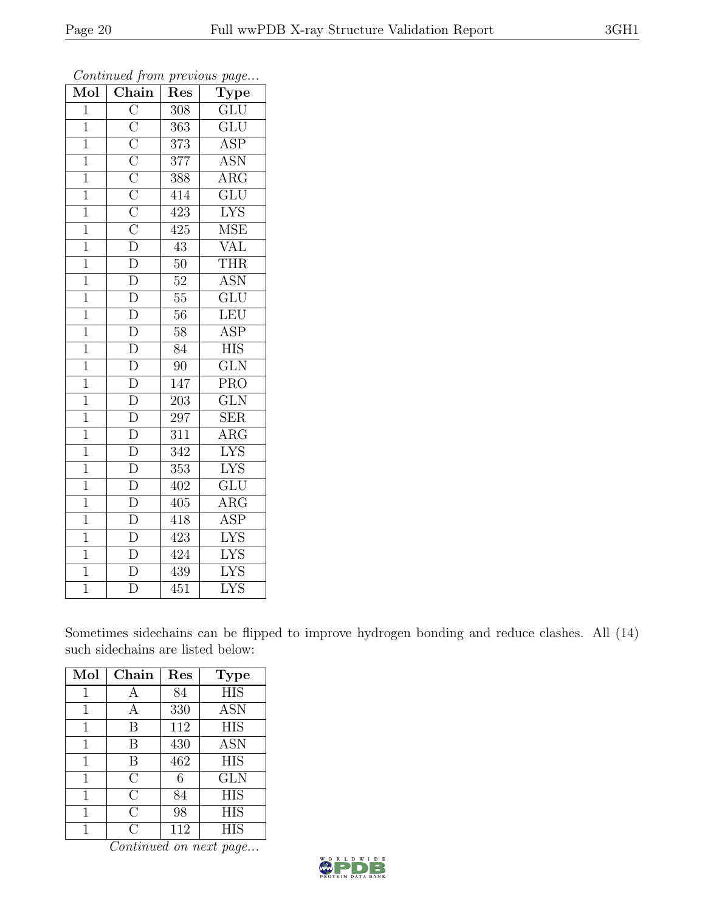| Mol            | $\overline{\text{Chain}}$                                                                                                                                                                                                                                                         | Res              | $\cdot$<br>$\overline{\text{Type}}$ |
|----------------|-----------------------------------------------------------------------------------------------------------------------------------------------------------------------------------------------------------------------------------------------------------------------------------|------------------|-------------------------------------|
| $\mathbf{1}$   |                                                                                                                                                                                                                                                                                   | 308              | GLU                                 |
| $\mathbf 1$    |                                                                                                                                                                                                                                                                                   | $\overline{363}$ | $\overline{\text{GLU}}$             |
| $\mathbf 1$    |                                                                                                                                                                                                                                                                                   | 373              | <b>ASP</b>                          |
| $\overline{1}$ |                                                                                                                                                                                                                                                                                   | 377              | <b>ASN</b>                          |
| $\overline{1}$ |                                                                                                                                                                                                                                                                                   | 388              | $\overline{\rm{ARG}}$               |
| $\mathbf{1}$   |                                                                                                                                                                                                                                                                                   | 414              | GLU                                 |
| $\mathbf{1}$   |                                                                                                                                                                                                                                                                                   | 423              | <b>LYS</b>                          |
| $\mathbf 1$    |                                                                                                                                                                                                                                                                                   | 425              | <b>MSE</b>                          |
| $\overline{1}$ |                                                                                                                                                                                                                                                                                   | $43\,$           | <b>VAL</b>                          |
| $\overline{1}$ |                                                                                                                                                                                                                                                                                   | $50\,$           | <b>THR</b>                          |
| $\mathbf{1}$   | $\frac{\overline{C}}{\overline{C}} \frac{\overline{C}}{\overline{C}} \frac{\overline{C}}{\overline{C}} \frac{\overline{C}}{\overline{C}} \frac{\overline{C}}{\overline{C}} \frac{\overline{C}}{\overline{D}} \frac{\overline{D}}{\overline{D}} \frac{\overline{D}}{\overline{D}}$ | $52\,$           | <b>ASN</b>                          |
| $\mathbf 1$    |                                                                                                                                                                                                                                                                                   | $55\,$           | $\overline{\text{GLU}}$             |
| $\overline{1}$ | $\frac{\overline{D}}{\overline{D}}$                                                                                                                                                                                                                                               | $56\,$           | LEU                                 |
| $\overline{1}$ |                                                                                                                                                                                                                                                                                   | $58\,$           | <b>ASP</b>                          |
| $\overline{1}$ | $\overline{\rm D}$                                                                                                                                                                                                                                                                | $\overline{84}$  | <b>HIS</b>                          |
| $\mathbf 1$    | $\frac{1}{D}$                                                                                                                                                                                                                                                                     | 90               | GLN                                 |
| $\overline{1}$ | $\overline{D}$                                                                                                                                                                                                                                                                    | $\overline{147}$ | $\overline{\text{PRO}}$             |
| $\mathbf{1}$   | $\overline{D}$                                                                                                                                                                                                                                                                    | 203              | GLN                                 |
| $\overline{1}$ | $\overline{\rm D}$                                                                                                                                                                                                                                                                | $\overline{297}$ | SER                                 |
| $\overline{1}$ | $\overline{\rm D}$                                                                                                                                                                                                                                                                | 311              | $\overline{\rm{ARG}}$               |
| $\overline{1}$ | $\frac{\overline{D}}{\overline{D}}$                                                                                                                                                                                                                                               | $\overline{342}$ | <b>LYS</b>                          |
| $\mathbf{1}$   |                                                                                                                                                                                                                                                                                   | $\overline{353}$ | <b>LYS</b>                          |
| $\overline{1}$ | $\overline{D}$                                                                                                                                                                                                                                                                    | 402              | GLU                                 |
| $\overline{1}$ | $\overline{\rm D}$                                                                                                                                                                                                                                                                | 405              | $\overline{\rm{ARG}}$               |
| $\mathbf{1}$   | $\frac{\overline{D}}{\overline{D}}$                                                                                                                                                                                                                                               | 418              | $\overline{\text{ASP}}$             |
| $\mathbf 1$    |                                                                                                                                                                                                                                                                                   | 423              | <b>LYS</b>                          |
| $\overline{1}$ |                                                                                                                                                                                                                                                                                   | 424              | <b>LYS</b>                          |
| $\overline{1}$ | $\overline{D}$                                                                                                                                                                                                                                                                    | 439              | ${\rm LYS}$                         |
| $\overline{1}$ | $\overline{\rm D}$                                                                                                                                                                                                                                                                | $\overline{451}$ | $\overline{\text{LYS}}$             |

Sometimes sidechains can be flipped to improve hydrogen bonding and reduce clashes. All (14) such sidechains are listed below:

| Mol | Chain         | Res | <b>Type</b> |
|-----|---------------|-----|-------------|
| 1   | А             | 84  | <b>HIS</b>  |
| 1   |               | 330 | <b>ASN</b>  |
| 1   | В             | 112 | <b>HIS</b>  |
| 1   | В             | 430 | <b>ASN</b>  |
| 1   | B             | 462 | <b>HIS</b>  |
| 1   | $\rm C$       | 6   | <b>GLN</b>  |
| 1   | С             | 84  | <b>HIS</b>  |
| 1   | С             | 98  | <b>HIS</b>  |
|     | $\mathcal{C}$ | 112 | <b>HIS</b>  |

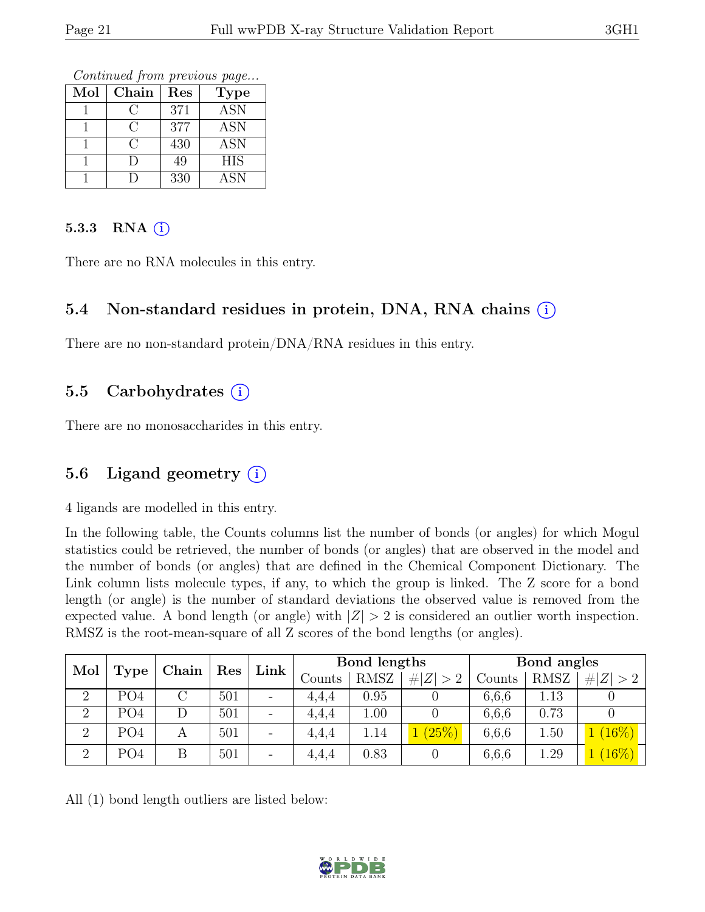Continued from previous page...

| Mol | Chain | Res | <b>Type</b> |
|-----|-------|-----|-------------|
|     |       | 371 | <b>ASN</b>  |
|     | € :   | 377 | <b>ASN</b>  |
|     |       | 430 | <b>ASN</b>  |
|     | I)    | 49  | <b>HIS</b>  |
|     |       | 330 | ASN         |

#### 5.3.3 RNA  $(i)$

There are no RNA molecules in this entry.

## 5.4 Non-standard residues in protein, DNA, RNA chains (i)

There are no non-standard protein/DNA/RNA residues in this entry.

#### 5.5 Carbohydrates  $(i)$

There are no monosaccharides in this entry.

#### 5.6 Ligand geometry  $(i)$

4 ligands are modelled in this entry.

In the following table, the Counts columns list the number of bonds (or angles) for which Mogul statistics could be retrieved, the number of bonds (or angles) that are observed in the model and the number of bonds (or angles) that are defined in the Chemical Component Dictionary. The Link column lists molecule types, if any, to which the group is linked. The Z score for a bond length (or angle) is the number of standard deviations the observed value is removed from the expected value. A bond length (or angle) with  $|Z| > 2$  is considered an outlier worth inspection. RMSZ is the root-mean-square of all Z scores of the bond lengths (or angles).

| Mol            |                 | Chain | Link<br>Res |                          |        | Bond lengths |            |        | Bond angles |          |
|----------------|-----------------|-------|-------------|--------------------------|--------|--------------|------------|--------|-------------|----------|
|                | <b>Type</b>     |       |             |                          | Counts | <b>RMSZ</b>  | H Z <br>>2 | Counts | <b>RMSZ</b> | Z   > 2  |
| 2              | PO4             |       | 501         | $\overline{\phantom{0}}$ | 4.4.4  | 0.95         |            | 6,6,6  | 1.13        |          |
| $\overline{2}$ | PO4             |       | 501         | $\overline{\phantom{0}}$ | 4.4.4  | 1.00         |            | 6,6,6  | 0.73        |          |
| $\overline{2}$ | PO <sub>4</sub> | A     | 501         | $\qquad \qquad -$        | 4,4,4  | 1.14         | (25%)      | 6,6,6  | 1.50        | (16%)    |
| $\overline{2}$ | PO <sub>4</sub> |       | 501         | $\overline{\phantom{a}}$ | 4.4.4  | 0.83         |            | 6,6,6  | 1.29        | $(16\%)$ |

All (1) bond length outliers are listed below:

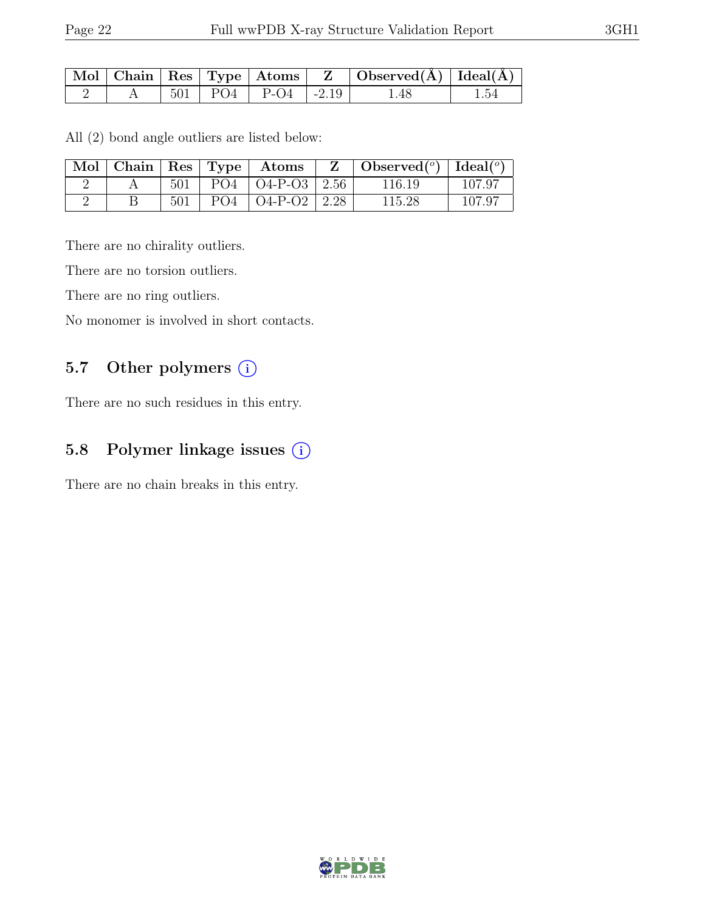|  |  |                                                    | $\mid$ Mol $\mid$ Chain $\mid$ Res $\mid$ Type $\mid$ Atoms $\mid$ $\mid$ Z $\mid$ Observed(A) $\mid$ Ideal(A) $\mid$ |      |
|--|--|----------------------------------------------------|-----------------------------------------------------------------------------------------------------------------------|------|
|  |  | $\vert 501 \vert PQ4 \vert P-Q4 \vert -2.19 \vert$ | -1.48                                                                                                                 | 1.54 |

All (2) bond angle outliers are listed below:

|  |     |                 | $\mid$ Mol $\mid$ Chain $\mid$ Res $\mid$ Type $\mid$ Atoms | $\mathbf{Z}$ | Observed( $^{\circ}$ )   Ideal( $^{\circ}$ ) |                 |
|--|-----|-----------------|-------------------------------------------------------------|--------------|----------------------------------------------|-----------------|
|  | 501 |                 | $PO4 \mid O4-P-O3 \mid 2.56$                                |              | 116.19                                       | $107.9^{\circ}$ |
|  | 501 | PO <sub>4</sub> | $\vert$ O4-P-O2 $\vert$ 2.28                                |              | 115.28                                       | $107.9^{\circ}$ |

There are no chirality outliers.

There are no torsion outliers.

There are no ring outliers.

No monomer is involved in short contacts.

## 5.7 Other polymers (i)

There are no such residues in this entry.

## 5.8 Polymer linkage issues (i)

There are no chain breaks in this entry.

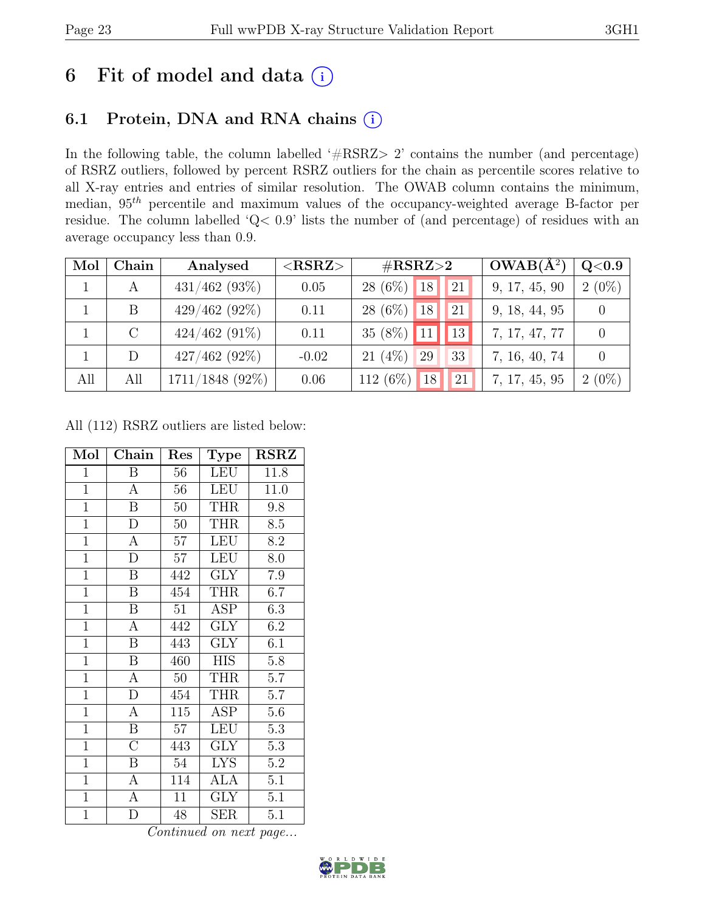# 6 Fit of model and data  $(i)$

## 6.1 Protein, DNA and RNA chains (i)

In the following table, the column labelled ' $\#\text{RSRZ}>2$ ' contains the number (and percentage) of RSRZ outliers, followed by percent RSRZ outliers for the chain as percentile scores relative to all X-ray entries and entries of similar resolution. The OWAB column contains the minimum, median,  $95<sup>th</sup>$  percentile and maximum values of the occupancy-weighted average B-factor per residue. The column labelled 'Q< 0.9' lists the number of (and percentage) of residues with an average occupancy less than 0.9.

| Mol | Chain   | Analysed          | $<$ RSRZ $>$ | $\#\text{RSRZ}\text{>2}$ |    | $OWAB(A^2)$ | Q <sub>0.9</sub> |          |
|-----|---------|-------------------|--------------|--------------------------|----|-------------|------------------|----------|
|     | А       | $431/462$ (93\%)  | 0.05         | $28(6\%)$                | 18 | 21          | 9, 17, 45, 90    | $2(0\%)$ |
|     | B       | $429/462(92\%)$   | 0.11         | $28(6\%)$                | 18 | 21          | 9, 18, 44, 95    |          |
|     | $\rm C$ | $424/462$ (91\%)  | 0.11         | 35 $(8\%)$               | 11 | 13          | 7, 17, 47, 77    |          |
|     | D       | $427/462$ (92%)   | $-0.02$      | $21(4\%)$                | 29 | 33          | 7, 16, 40, 74    |          |
| All | All     | $1711/1848$ (92%) | 0.06         | 112 (6%)                 | 18 | 21          | 7, 17, 45, 95    | $2(0\%)$ |

All (112) RSRZ outliers are listed below:

| Mol            | Chain                   | Res    | <b>Type</b>             | <b>RSRZ</b> |
|----------------|-------------------------|--------|-------------------------|-------------|
| $\mathbf{1}$   | B                       | 56     | <b>LEU</b>              | 11.8        |
| $\overline{1}$ | $\boldsymbol{A}$        | 56     | $\overline{\text{LEU}}$ | 11.0        |
| $\mathbf 1$    | $\boldsymbol{B}$        | $50\,$ | <b>THR</b>              | 9.8         |
| $\overline{1}$ | $\overline{D}$          | 50     | <b>THR</b>              | 8.5         |
| $\overline{1}$ | $\overline{A}$          | 57     | <b>LEU</b>              | 8.2         |
| $\overline{1}$ | D                       | 57     | <b>LEU</b>              | 8.0         |
| $\mathbf{1}$   | $\, {\bf B}$            | 442    | <b>GLY</b>              | 7.9         |
| $\overline{1}$ | B                       | 454    | <b>THR</b>              | 6.7         |
| $\overline{1}$ | $\boldsymbol{B}$        | 51     | <b>ASP</b>              | 6.3         |
| $\overline{1}$ | $\overline{A}$          | 442    | <b>GLY</b>              | 6.2         |
| $\overline{1}$ | $\boldsymbol{B}$        | 443    | <b>GLY</b>              | 6.1         |
| $\overline{1}$ | $\overline{\mathbf{B}}$ | 460    | <b>HIS</b>              | $5.8\,$     |
| $\overline{1}$ | $\overline{A}$          | $50\,$ | <b>THR</b>              | 5.7         |
| $\mathbf{1}$   | ${\rm D}$               | 454    | <b>THR</b>              | 5.7         |
| $\overline{1}$ | $\overline{A}$          | 115    | ASP                     | 5.6         |
| $\overline{1}$ | $\boldsymbol{B}$        | 57     | <b>LEU</b>              | 5.3         |
| $\mathbf{1}$   | $\overline{\rm C}$      | 443    | <b>GLY</b>              | 5.3         |
| $\mathbf{1}$   | Β                       | 54     | <b>LYS</b>              | 5.2         |
| $\overline{1}$ | $\boldsymbol{A}$        | 114    | <b>ALA</b>              | 5.1         |
| $\overline{1}$ | $\overline{A}$          | 11     | $\overline{\text{GLY}}$ | 5.1         |
| $\mathbf{1}$   | D                       | 48     | <b>SER</b>              | 5.1         |

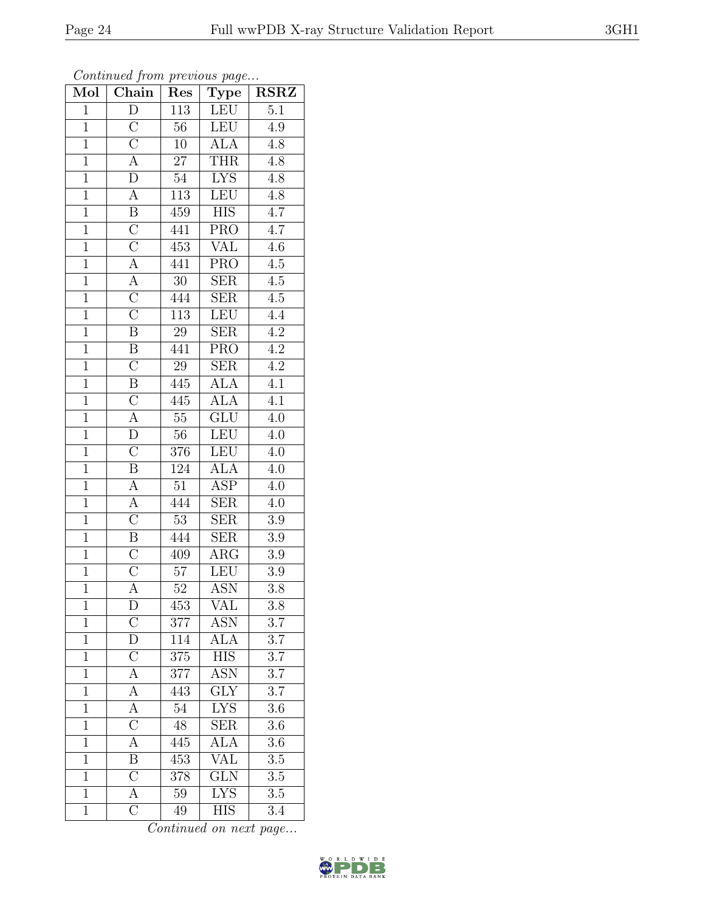| ł |
|---|
|---|

| $\overline{\text{Mol}}$ | . <i>.</i><br>Chain                 | $\mathbf{r}$<br>Res | $\cdots$ $\cdots$<br>$\overline{\mathrm{T}}$ ype | <b>RSRZ</b>      |
|-------------------------|-------------------------------------|---------------------|--------------------------------------------------|------------------|
| $\overline{1}$          | $\overline{\rm D}$                  | 113                 | LEU                                              | 5.1              |
| $\overline{1}$          | $\overline{C}$                      | 56                  | <b>LEU</b>                                       | 4.9              |
| $\overline{1}$          | $\overline{C}$                      | 10                  | $\overline{ALA}$                                 | 4.8              |
| $\mathbf{1}$            | $\overline{A}$                      | $27\,$              | THR                                              | $4.8\,$          |
| $\overline{1}$          | $\overline{D}$                      | $54\,$              | <b>LYS</b>                                       | 4.8              |
| $\overline{1}$          | $\boldsymbol{A}$                    | 113                 | <b>LEU</b>                                       | 4.8              |
| $\overline{1}$          | $\boldsymbol{B}$                    | 459                 | <b>HIS</b>                                       | 4.7              |
| $\overline{1}$          | $\overline{C}$                      | 441                 | <b>PRO</b>                                       | 4.7              |
| $\overline{1}$          | $\overline{C}$                      | 453                 | <b>VAL</b>                                       | 4.6              |
| $\overline{1}$          | $\overline{A}$                      | 441                 | <b>PRO</b>                                       | $\overline{4.5}$ |
| $\overline{1}$          | $\overline{A}$                      | 30                  | <b>SER</b>                                       | 4.5              |
| $\overline{1}$          | $\overline{C}$                      | 444                 | $\overline{\text{SER}}$                          | $\overline{4.5}$ |
| $\mathbf{1}$            | $\overline{\rm C}$                  | 113                 | LEU                                              | 4.4              |
| $\mathbf{1}$            | $\overline{B}$                      | 29                  | <b>SER</b>                                       | $\overline{4.2}$ |
| $\overline{1}$          | $\overline{B}$                      | 441                 | <b>PRO</b>                                       | $\overline{4.2}$ |
| $\overline{1}$          | $\overline{\rm C}$                  | 29                  | SER                                              | 4.2              |
| $\overline{1}$          | $\overline{\mathbf{B}}$             | 445                 | <b>ALA</b>                                       | $\overline{4.1}$ |
| $\mathbf{1}$            | $\overline{C}$                      | 445                 | <b>ALA</b>                                       | 4.1              |
| $\mathbf{1}$            | $\overline{A}$                      | $55\,$              | $\overline{\text{GLU}}$                          | 4.0              |
| $\overline{1}$          | $\overline{D}$                      | 56                  | LEU                                              | 4.0              |
| $\overline{1}$          | $\overline{\rm C}$                  | 376                 | <b>LEU</b>                                       | 4.0              |
| $\overline{1}$          | $\overline{\mathbf{B}}$             | 124                 | <b>ALA</b>                                       | 4.0              |
| $\mathbf 1$             | A                                   | $51\,$              | <b>ASP</b>                                       | 4.0              |
| $\overline{1}$          | $\overline{A}$                      | 444                 | $\overline{\rm SER}$                             | 4.0              |
| $\overline{1}$          | $\overline{C}$                      | $\overline{53}$     | <b>SER</b>                                       | 3.9              |
| $\overline{1}$          | $\overline{\mathbf{B}}$             | 444                 | <b>SER</b>                                       | 3.9              |
| $\overline{1}$          | $\overline{\rm C}$                  | 409                 | $\rm{ARG}$                                       | $\overline{3.9}$ |
| $\overline{1}$          | $\overline{\rm C}$                  | 57                  | <b>LEU</b>                                       | $3.9\,$          |
| $\overline{1}$          | $\overline{A}$                      | 52                  | <b>ASN</b>                                       | 3.8              |
| 1                       | D                                   | 453                 | VAL                                              | 3.8              |
| $\overline{1}$          | $\overline{C}$                      | 377                 | <b>ASN</b>                                       | $\overline{3.7}$ |
| $\mathbf{1}$            | $\overline{D}$                      | 114                 | ALA                                              | $3.7\,$          |
| $\mathbf{1}$            | $\frac{\overline{C}}{\overline{A}}$ | 375                 | <b>HIS</b>                                       | $\overline{3.7}$ |
| $\mathbf{1}$            |                                     | 377                 | $\overline{\mathrm{ASN}}$                        | $3.\overline{7}$ |
| $\mathbf{1}$            | $\overline{A}$                      | 443                 | <b>GLY</b>                                       | 3.7              |
| $\overline{1}$          | $\overline{A}$                      | $\overline{54}$     | <b>LYS</b>                                       | $\overline{3.6}$ |
| $\mathbf{1}$            | $\overline{C}$                      | 48                  | <b>SER</b>                                       | 3.6              |
| $\mathbf{1}$            | $\overline{\rm A}$                  | 445                 | $\overline{\rm ALA}$                             | 3.6              |
| $\mathbf{1}$            | $\overline{B}$                      | 453                 | VAL                                              | 3.5              |
| $\mathbf{1}$            | $\overline{C}$                      | 378                 | <b>GLN</b>                                       | $3.5\,$          |
| $\mathbf{1}$            | $\overline{A}$                      | $59\,$              | <b>LYS</b>                                       | $\overline{3.5}$ |
| $\mathbf{1}$            | $\overline{\rm C}$                  | 49                  | <b>HIS</b>                                       | 3.4              |

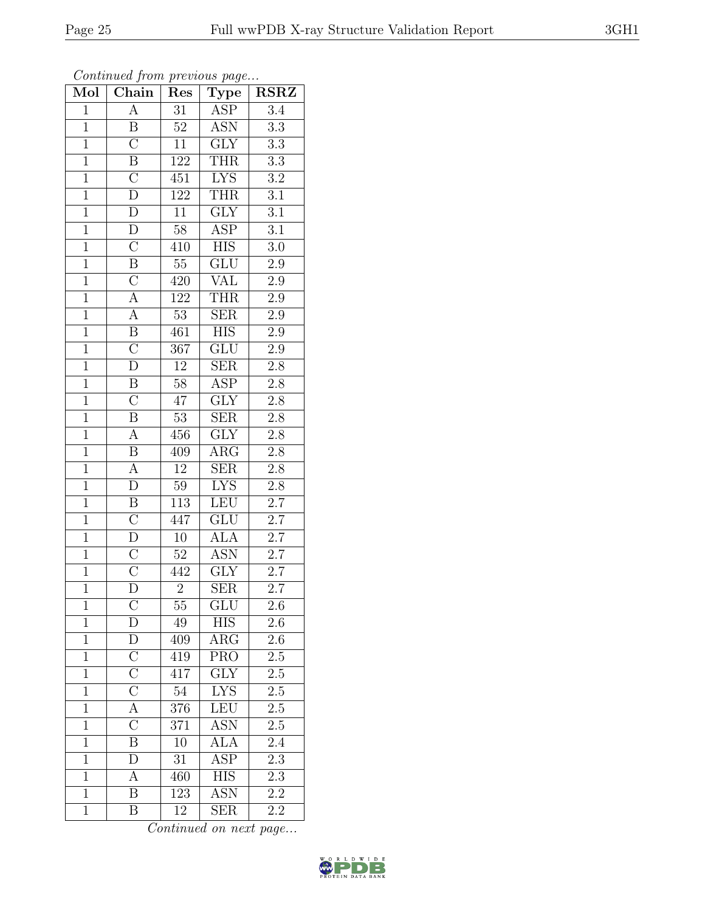| Mol            | Chain                               | Res              | Type                    | <b>RSRZ</b>      |
|----------------|-------------------------------------|------------------|-------------------------|------------------|
| $\mathbf{1}$   | $\overline{A}$                      | 31               | <b>ASP</b>              | 3.4              |
| $\overline{1}$ | B                                   | $\overline{52}$  | <b>ASN</b>              | $\overline{3.3}$ |
| $\mathbf{1}$   | $\overline{C}$                      | $\overline{11}$  | $\overline{\text{GLY}}$ | $\overline{3.3}$ |
| $\mathbf{1}$   |                                     | 122              | THR                     | $\overline{3.3}$ |
| $\overline{1}$ | $\frac{\overline{B}}{C}$            | $\overline{451}$ | <b>LYS</b>              | $\overline{3.2}$ |
| $\mathbf{1}$   | $\overline{\rm D}$                  | 122              | <b>THR</b>              | $\overline{3.1}$ |
| $\overline{1}$ | $\overline{D}$                      | $\overline{11}$  | $\overline{\text{GLY}}$ | $\overline{3.1}$ |
| $\overline{1}$ | $\overline{D}$                      | $58\,$           | $\overline{\text{ASP}}$ | $\overline{3.1}$ |
| $\mathbf{1}$   | $\overline{C}$                      | 410              | <b>HIS</b>              | $3.0\,$          |
| $\overline{1}$ | $\overline{\mathbf{B}}$             | $\overline{55}$  | $\overline{\text{GLU}}$ | $\overline{2.9}$ |
| $\overline{1}$ | $\frac{\overline{C}}{\overline{A}}$ | 420              | <b>VAL</b>              | $\overline{2.9}$ |
| $\overline{1}$ |                                     | <sup>122</sup>   | <b>THR</b>              | $\overline{2.9}$ |
| $\overline{1}$ |                                     | $\overline{53}$  | $\overline{\text{SER}}$ | $\overline{2.9}$ |
| $\mathbf{1}$   | $\frac{\overline{A}}{\overline{B}}$ | 461              | $\overline{HIS}$        | $\overline{2.9}$ |
| $\overline{1}$ |                                     | $\overline{367}$ | $\overline{\text{GLU}}$ | $\overline{2.9}$ |
| $\overline{1}$ | $\overline{\rm D}$                  | $\overline{12}$  | ${\rm SER}$             | $2.\overline{8}$ |
| $\overline{1}$ | $\overline{B}$                      | $\overline{58}$  | <b>ASP</b>              | $\overline{2.8}$ |
| $\overline{1}$ | $\overline{\rm C}$                  | $47\,$           | $\operatorname{GLY}$    | $2.\overline{8}$ |
| $\overline{1}$ | $\overline{\mathbf{B}}$             | $\overline{53}$  | $\overline{\text{SER}}$ | $2.8\,$          |
| $\overline{1}$ | $\overline{A}$                      | 456              | $\overline{\text{GLY}}$ | $2.8\,$          |
| $\overline{1}$ | $\overline{B}$                      | 409              | $\rm{ARG}$              | $2.8\,$          |
| $\overline{1}$ | $\overline{A}$                      | $\overline{12}$  | $\overline{\text{SER}}$ | $\overline{2.8}$ |
| $\mathbf{1}$   | $\overline{\rm D}$                  | $59\,$           | <b>LYS</b>              | $2.8\,$          |
| $\overline{1}$ | $\overline{B}$                      | 113              | LEU                     | $2.7\,$          |
| $\overline{1}$ | $\overline{C}$                      | 447              | $\overline{\text{GLU}}$ | $\overline{2.7}$ |
| $\overline{1}$ | $\overline{D}$                      | $10\,$           | <b>ALA</b>              | $2.7\,$          |
| $\overline{1}$ | $\overline{C}$                      | $\overline{52}$  | <b>ASN</b>              | $\overline{2.7}$ |
| $\overline{1}$ | $\overline{\rm C}$                  | 442              | $\overline{\text{GLY}}$ | $2.7\,$          |
| $\overline{1}$ | $\overline{\text{D}}$               | $\overline{2}$   | SER                     | $\overline{2.7}$ |
| $\mathbf 1$    | $\overline{\rm C}$                  | $\overline{55}$  | $\overline{\text{GLU}}$ | 2.6              |
| $\overline{1}$ | D                                   | 49               | <b>HIS</b>              | $2.6\,$          |
| $\mathbf{1}$   | $\frac{\overline{D}}{C}$            | 409              | $\rm{ARG}$              | $\overline{2.6}$ |
| $\mathbf{1}$   |                                     | 419              | <b>PRO</b>              | $2.5\,$          |
| $\overline{1}$ | $\overline{\rm C}$                  | $4\overline{17}$ | $\overline{\text{GLY}}$ | $\overline{2.5}$ |
| $\mathbf{1}$   | $\overline{C}$                      | $54\,$           | ${\rm LYS}$             | $2.\overline{5}$ |
| $\overline{1}$ | $\overline{A}$                      | 376              | LEU                     | $\overline{2.5}$ |
| $\mathbf{1}$   | $\overline{\rm C}$                  | 371              | <b>ASN</b>              | 2.5              |
| $\mathbf 1$    | $\overline{B}$                      | 10               | <b>ALA</b>              | 2.4              |
| $\mathbf{1}$   | $\overline{\rm D}$                  | 31               | $A\overline{SP}$        | $2\overline{.3}$ |
| $\overline{1}$ | А                                   | 460              | <b>HIS</b>              | 2.3              |
| $\mathbf{1}$   | $\overline{\mathrm{B}}$             | 123              | $\overline{\text{ASN}}$ | 2.2              |
| $\mathbf{1}$   | B                                   | 12               | <b>SER</b>              | 2.2              |